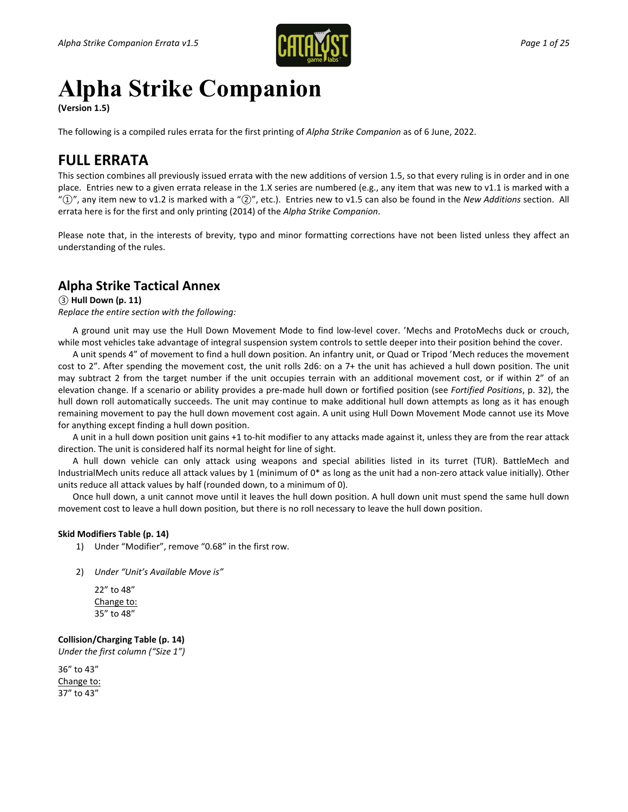

# **Alpha Strike Companion**

**(Version 1.5)**

The following is a compiled rules errata for the first printing of *Alpha Strike Companion* as of 6 June, 2022.

# **FULL ERRATA**

This section combines all previously issued errata with the new additions of version 1.5, so that every ruling is in order and in one place. Entries new to a given errata release in the 1.X series are numbered (e.g., any item that was new to v1.1 is marked with a "*①*", any item new to v1.2 is marked with a "*②*", etc.). Entries new to v1.5 can also be found in the *New Additions* section. All errata here is for the first and only printing (2014) of the *Alpha Strike Companion*.

Please note that, in the interests of brevity, typo and minor formatting corrections have not been listed unless they affect an understanding of the rules.

# **Alpha Strike Tactical Annex**

*③* **Hull Down (p. 11)**

*Replace the entire section with the following:*

A ground unit may use the Hull Down Movement Mode to find low-level cover. 'Mechs and ProtoMechs duck or crouch, while most vehicles take advantage of integral suspension system controls to settle deeper into their position behind the cover.

A unit spends 4" of movement to find a hull down position. An infantry unit, or Quad or Tripod 'Mech reduces the movement cost to 2". After spending the movement cost, the unit rolls 2d6: on a 7+ the unit has achieved a hull down position. The unit may subtract 2 from the target number if the unit occupies terrain with an additional movement cost, or if within 2" of an elevation change. If a scenario or ability provides a pre-made hull down or fortified position (see *Fortified Positions*, p. 32), the hull down roll automatically succeeds. The unit may continue to make additional hull down attempts as long as it has enough remaining movement to pay the hull down movement cost again. A unit using Hull Down Movement Mode cannot use its Move for anything except finding a hull down position.

A unit in a hull down position unit gains +1 to-hit modifier to any attacks made against it, unless they are from the rear attack direction. The unit is considered half its normal height for line of sight.

A hull down vehicle can only attack using weapons and special abilities listed in its turret (TUR). BattleMech and IndustrialMech units reduce all attack values by 1 (minimum of 0\* as long as the unit had a non-zero attack value initially). Other units reduce all attack values by half (rounded down, to a minimum of 0).

Once hull down, a unit cannot move until it leaves the hull down position. A hull down unit must spend the same hull down movement cost to leave a hull down position, but there is no roll necessary to leave the hull down position.

#### **Skid Modifiers Table (p. 14)**

- 1) Under "Modifier", remove "0.68" in the first row.
- 2) *Under "Unit's Available Move is"*

22" to 48" Change to: 35" to 48"

**Collision/Charging Table (p. 14)** *Under the first column ("Size 1")*

36" to 43" Change to: 37" to 43"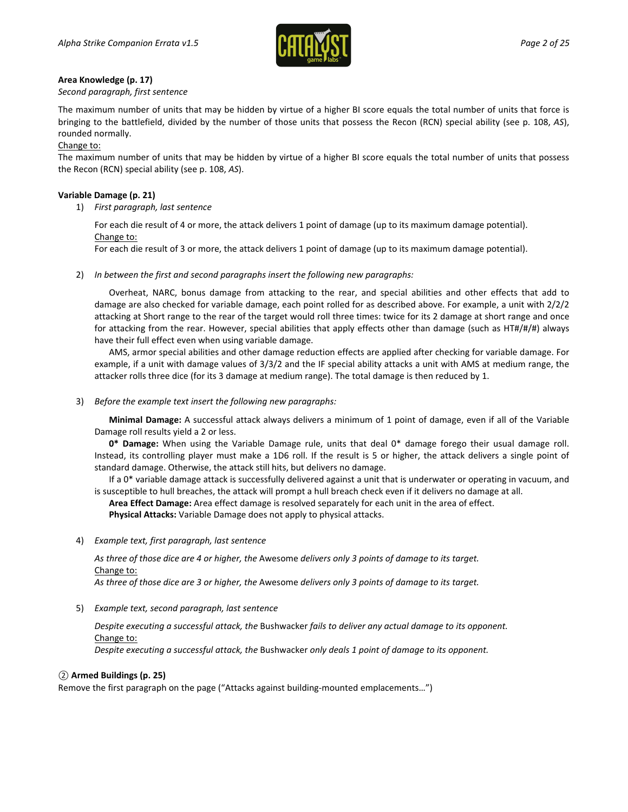

#### **Area Knowledge (p. 17)**

#### *Second paragraph, first sentence*

The maximum number of units that may be hidden by virtue of a higher BI score equals the total number of units that force is bringing to the battlefield, divided by the number of those units that possess the Recon (RCN) special ability (see p. 108, *AS*), rounded normally.

#### Change to:

The maximum number of units that may be hidden by virtue of a higher BI score equals the total number of units that possess the Recon (RCN) special ability (see p. 108, *AS*).

#### **Variable Damage (p. 21)**

1) *First paragraph, last sentence*

For each die result of 4 or more, the attack delivers 1 point of damage (up to its maximum damage potential). Change to:

For each die result of 3 or more, the attack delivers 1 point of damage (up to its maximum damage potential).

2) *In between the first and second paragraphs insert the following new paragraphs:*

Overheat, NARC, bonus damage from attacking to the rear, and special abilities and other effects that add to damage are also checked for variable damage, each point rolled for as described above. For example, a unit with 2/2/2 attacking at Short range to the rear of the target would roll three times: twice for its 2 damage at short range and once for attacking from the rear. However, special abilities that apply effects other than damage (such as HT#/#/#) always have their full effect even when using variable damage.

AMS, armor special abilities and other damage reduction effects are applied after checking for variable damage. For example, if a unit with damage values of 3/3/2 and the IF special ability attacks a unit with AMS at medium range, the attacker rolls three dice (for its 3 damage at medium range). The total damage is then reduced by 1.

3) *Before the example text insert the following new paragraphs:*

**Minimal Damage:** A successful attack always delivers a minimum of 1 point of damage, even if all of the Variable Damage roll results yield a 2 or less.

**0\* Damage:** When using the Variable Damage rule, units that deal 0\* damage forego their usual damage roll. Instead, its controlling player must make a 1D6 roll. If the result is 5 or higher, the attack delivers a single point of standard damage. Otherwise, the attack still hits, but delivers no damage.

If a 0\* variable damage attack is successfully delivered against a unit that is underwater or operating in vacuum, and is susceptible to hull breaches, the attack will prompt a hull breach check even if it delivers no damage at all.

**Area Effect Damage:** Area effect damage is resolved separately for each unit in the area of effect.

**Physical Attacks:** Variable Damage does not apply to physical attacks.

4) *Example text, first paragraph, last sentence*

*As three of those dice are 4 or higher, the* Awesome *delivers only 3 points of damage to its target.* Change to:

*As three of those dice are 3 or higher, the* Awesome *delivers only 3 points of damage to its target.*

5) *Example text, second paragraph, last sentence*

*Despite executing a successful attack, the* Bushwacker *fails to deliver any actual damage to its opponent.* Change to:

*Despite executing a successful attack, the* Bushwacker *only deals 1 point of damage to its opponent.*

#### *②* **Armed Buildings (p. 25)**

Remove the first paragraph on the page ("Attacks against building-mounted emplacements…")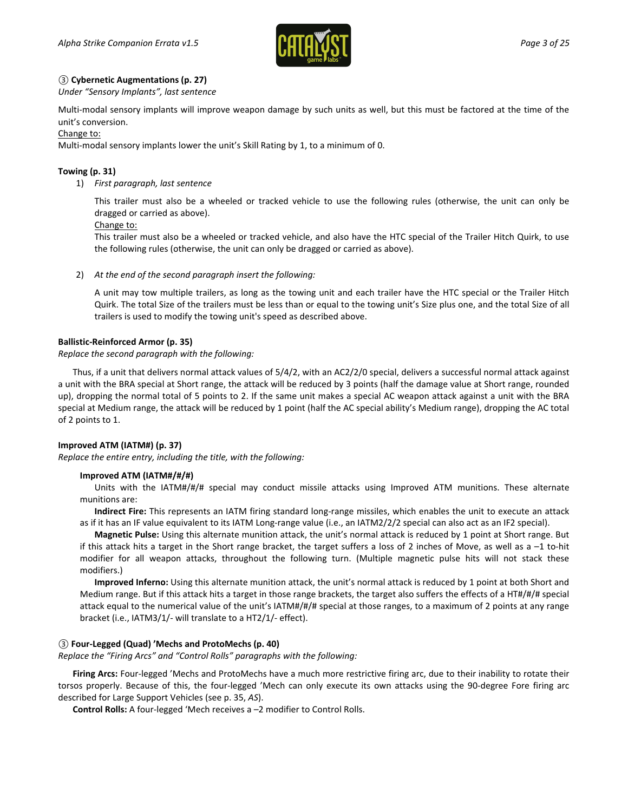

#### *③* **Cybernetic Augmentations (p. 27)**

*Under "Sensory Implants", last sentence*

Multi-modal sensory implants will improve weapon damage by such units as well, but this must be factored at the time of the unit's conversion.

#### Change to:

Multi-modal sensory implants lower the unit's Skill Rating by 1, to a minimum of 0.

#### **Towing (p. 31)**

1) *First paragraph, last sentence*

This trailer must also be a wheeled or tracked vehicle to use the following rules (otherwise, the unit can only be dragged or carried as above).

#### Change to:

This trailer must also be a wheeled or tracked vehicle, and also have the HTC special of the Trailer Hitch Quirk, to use the following rules (otherwise, the unit can only be dragged or carried as above).

2) *At the end of the second paragraph insert the following:*

A unit may tow multiple trailers, as long as the towing unit and each trailer have the HTC special or the Trailer Hitch Quirk. The total Size of the trailers must be less than or equal to the towing unit's Size plus one, and the total Size of all trailers is used to modify the towing unit's speed as described above.

#### **Ballistic-Reinforced Armor (p. 35)**

#### *Replace the second paragraph with the following:*

Thus, if a unit that delivers normal attack values of 5/4/2, with an AC2/2/0 special, delivers a successful normal attack against a unit with the BRA special at Short range, the attack will be reduced by 3 points (half the damage value at Short range, rounded up), dropping the normal total of 5 points to 2. If the same unit makes a special AC weapon attack against a unit with the BRA special at Medium range, the attack will be reduced by 1 point (half the AC special ability's Medium range), dropping the AC total of 2 points to 1.

#### **Improved ATM (IATM#) (p. 37)**

*Replace the entire entry, including the title, with the following:*

#### **Improved ATM (IATM#/#/#)**

Units with the IATM#/#/# special may conduct missile attacks using Improved ATM munitions. These alternate munitions are:

**Indirect Fire:** This represents an IATM firing standard long-range missiles, which enables the unit to execute an attack as if it has an IF value equivalent to its IATM Long-range value (i.e., an IATM2/2/2 special can also act as an IF2 special).

**Magnetic Pulse:** Using this alternate munition attack, the unit's normal attack is reduced by 1 point at Short range. But if this attack hits a target in the Short range bracket, the target suffers a loss of 2 inches of Move, as well as a –1 to-hit modifier for all weapon attacks, throughout the following turn. (Multiple magnetic pulse hits will not stack these modifiers.)

**Improved Inferno:** Using this alternate munition attack, the unit's normal attack is reduced by 1 point at both Short and Medium range. But if this attack hits a target in those range brackets, the target also suffers the effects of a HT#/#/# special attack equal to the numerical value of the unit's IATM#/#/# special at those ranges, to a maximum of 2 points at any range bracket (i.e., IATM3/1/- will translate to a HT2/1/- effect).

#### *③* **Four-Legged (Quad) 'Mechs and ProtoMechs (p. 40)**

*Replace the "Firing Arcs" and "Control Rolls" paragraphs with the following:*

**Firing Arcs:** Four-legged 'Mechs and ProtoMechs have a much more restrictive firing arc, due to their inability to rotate their torsos properly. Because of this, the four-legged 'Mech can only execute its own attacks using the 90-degree Fore firing arc described for Large Support Vehicles (see p. 35, *AS*).

**Control Rolls:** A four-legged 'Mech receives a –2 modifier to Control Rolls.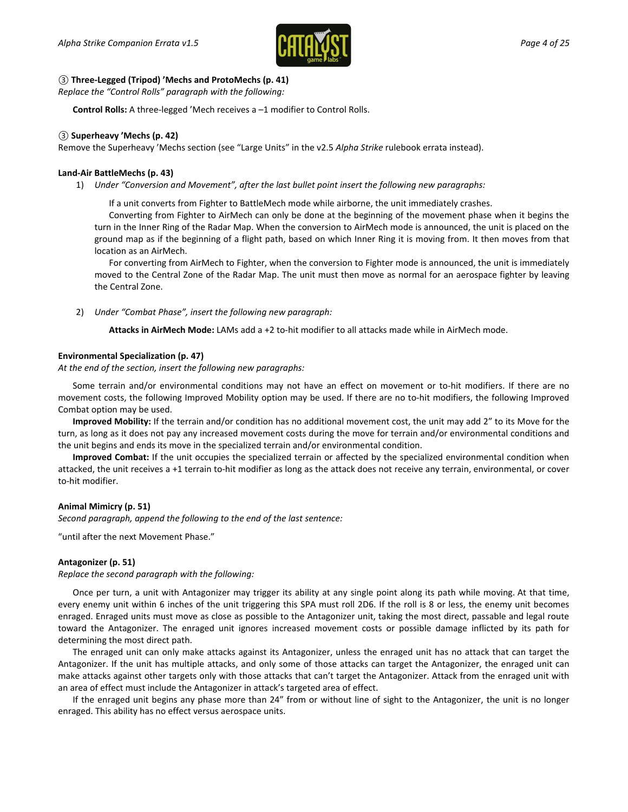

#### *③* **Three-Legged (Tripod) 'Mechs and ProtoMechs (p. 41)**

*Replace the "Control Rolls" paragraph with the following:*

**Control Rolls:** A three-legged 'Mech receives a –1 modifier to Control Rolls.

#### *③* **Superheavy 'Mechs (p. 42)**

Remove the Superheavy 'Mechs section (see "Large Units" in the v2.5 *Alpha Strike* rulebook errata instead).

#### **Land-Air BattleMechs (p. 43)**

1) *Under "Conversion and Movement", after the last bullet point insert the following new paragraphs:*

If a unit converts from Fighter to BattleMech mode while airborne, the unit immediately crashes.

Converting from Fighter to AirMech can only be done at the beginning of the movement phase when it begins the turn in the Inner Ring of the Radar Map. When the conversion to AirMech mode is announced, the unit is placed on the ground map as if the beginning of a flight path, based on which Inner Ring it is moving from. It then moves from that location as an AirMech.

For converting from AirMech to Fighter, when the conversion to Fighter mode is announced, the unit is immediately moved to the Central Zone of the Radar Map. The unit must then move as normal for an aerospace fighter by leaving the Central Zone.

2) *Under "Combat Phase", insert the following new paragraph:*

**Attacks in AirMech Mode:** LAMs add a +2 to-hit modifier to all attacks made while in AirMech mode.

#### **Environmental Specialization (p. 47)**

*At the end of the section, insert the following new paragraphs:*

Some terrain and/or environmental conditions may not have an effect on movement or to-hit modifiers. If there are no movement costs, the following Improved Mobility option may be used. If there are no to-hit modifiers, the following Improved Combat option may be used.

**Improved Mobility:** If the terrain and/or condition has no additional movement cost, the unit may add 2" to its Move for the turn, as long as it does not pay any increased movement costs during the move for terrain and/or environmental conditions and the unit begins and ends its move in the specialized terrain and/or environmental condition.

**Improved Combat:** If the unit occupies the specialized terrain or affected by the specialized environmental condition when attacked, the unit receives a +1 terrain to-hit modifier as long as the attack does not receive any terrain, environmental, or cover to-hit modifier.

#### **Animal Mimicry (p. 51)**

*Second paragraph, append the following to the end of the last sentence:*

"until after the next Movement Phase."

#### **Antagonizer (p. 51)**

*Replace the second paragraph with the following:*

Once per turn, a unit with Antagonizer may trigger its ability at any single point along its path while moving. At that time, every enemy unit within 6 inches of the unit triggering this SPA must roll 2D6. If the roll is 8 or less, the enemy unit becomes enraged. Enraged units must move as close as possible to the Antagonizer unit, taking the most direct, passable and legal route toward the Antagonizer. The enraged unit ignores increased movement costs or possible damage inflicted by its path for determining the most direct path.

The enraged unit can only make attacks against its Antagonizer, unless the enraged unit has no attack that can target the Antagonizer. If the unit has multiple attacks, and only some of those attacks can target the Antagonizer, the enraged unit can make attacks against other targets only with those attacks that can't target the Antagonizer. Attack from the enraged unit with an area of effect must include the Antagonizer in attack's targeted area of effect.

If the enraged unit begins any phase more than 24" from or without line of sight to the Antagonizer, the unit is no longer enraged. This ability has no effect versus aerospace units.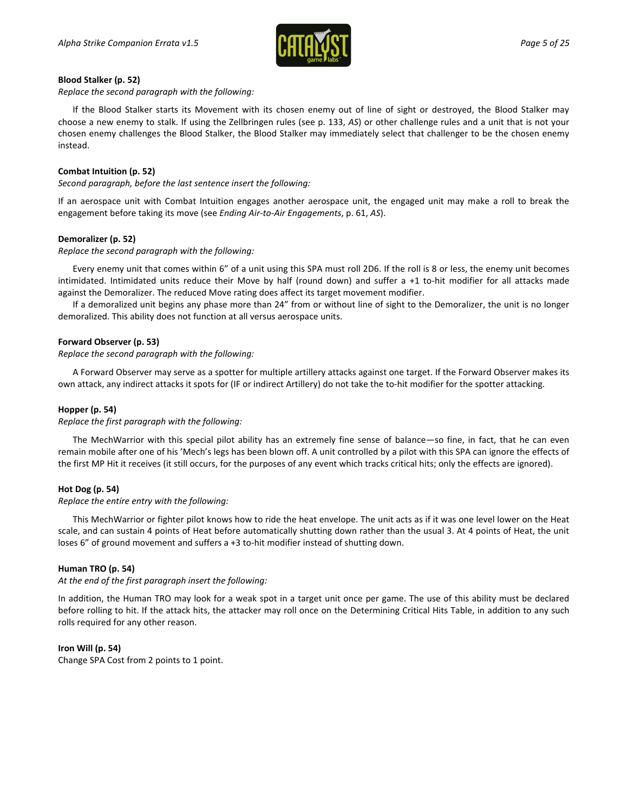

#### **Blood Stalker (p. 52)**

*Replace the second paragraph with the following:*

If the Blood Stalker starts its Movement with its chosen enemy out of line of sight or destroyed, the Blood Stalker may choose a new enemy to stalk. If using the Zellbringen rules (see p. 133, *AS*) or other challenge rules and a unit that is not your chosen enemy challenges the Blood Stalker, the Blood Stalker may immediately select that challenger to be the chosen enemy instead.

#### **Combat Intuition (p. 52)**

*Second paragraph, before the last sentence insert the following:*

If an aerospace unit with Combat Intuition engages another aerospace unit, the engaged unit may make a roll to break the engagement before taking its move (see *Ending Air-to-Air Engagements*, p. 61, *AS*).

#### **Demoralizer (p. 52)**

*Replace the second paragraph with the following:*

Every enemy unit that comes within 6" of a unit using this SPA must roll 2D6. If the roll is 8 or less, the enemy unit becomes intimidated. Intimidated units reduce their Move by half (round down) and suffer a +1 to-hit modifier for all attacks made against the Demoralizer. The reduced Move rating does affect its target movement modifier.

If a demoralized unit begins any phase more than 24" from or without line of sight to the Demoralizer, the unit is no longer demoralized. This ability does not function at all versus aerospace units.

#### **Forward Observer (p. 53)**

*Replace the second paragraph with the following:*

A Forward Observer may serve as a spotter for multiple artillery attacks against one target. If the Forward Observer makes its own attack, any indirect attacks it spots for (IF or indirect Artillery) do not take the to-hit modifier for the spotter attacking.

#### **Hopper (p. 54)**

*Replace the first paragraph with the following:*

The MechWarrior with this special pilot ability has an extremely fine sense of balance—so fine, in fact, that he can even remain mobile after one of his 'Mech's legs has been blown off. A unit controlled by a pilot with this SPA can ignore the effects of the first MP Hit it receives (it still occurs, for the purposes of any event which tracks critical hits; only the effects are ignored).

#### **Hot Dog (p. 54)**

#### *Replace the entire entry with the following:*

This MechWarrior or fighter pilot knows how to ride the heat envelope. The unit acts as if it was one level lower on the Heat scale, and can sustain 4 points of Heat before automatically shutting down rather than the usual 3. At 4 points of Heat, the unit loses 6" of ground movement and suffers a +3 to-hit modifier instead of shutting down.

#### **Human TRO (p. 54)**

*At the end of the first paragraph insert the following:*

In addition, the Human TRO may look for a weak spot in a target unit once per game. The use of this ability must be declared before rolling to hit. If the attack hits, the attacker may roll once on the Determining Critical Hits Table, in addition to any such rolls required for any other reason.

#### **Iron Will (p. 54)**

Change SPA Cost from 2 points to 1 point.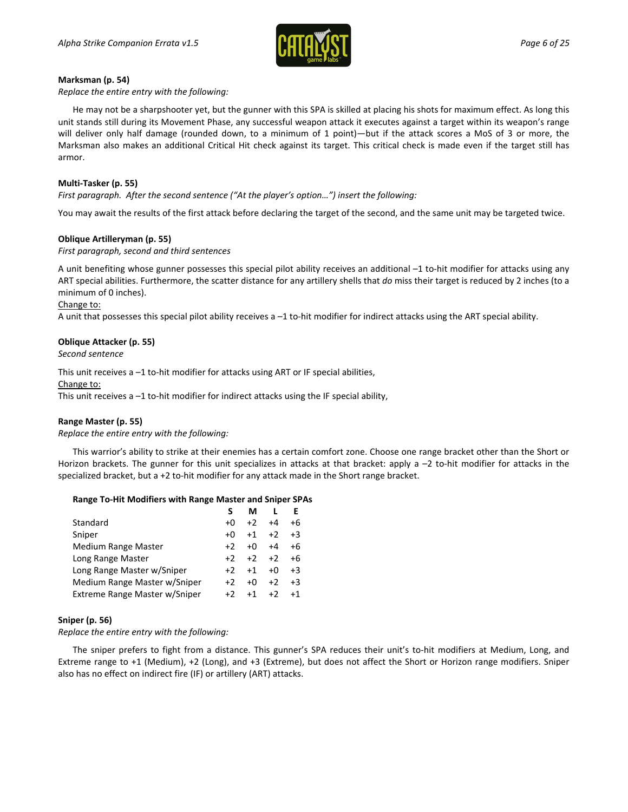

#### **Marksman (p. 54)**

*Replace the entire entry with the following:*

He may not be a sharpshooter yet, but the gunner with this SPA is skilled at placing his shots for maximum effect. As long this unit stands still during its Movement Phase, any successful weapon attack it executes against a target within its weapon's range will deliver only half damage (rounded down, to a minimum of 1 point)—but if the attack scores a MoS of 3 or more, the Marksman also makes an additional Critical Hit check against its target. This critical check is made even if the target still has armor.

#### **Multi-Tasker (p. 55)**

*First paragraph. After the second sentence ("At the player's option…") insert the following:*

You may await the results of the first attack before declaring the target of the second, and the same unit may be targeted twice.

#### **Oblique Artilleryman (p. 55)**

*First paragraph, second and third sentences*

A unit benefiting whose gunner possesses this special pilot ability receives an additional –1 to-hit modifier for attacks using any ART special abilities. Furthermore, the scatter distance for any artillery shells that *do* miss their target is reduced by 2 inches (to a minimum of 0 inches).

#### Change to:

A unit that possesses this special pilot ability receives a –1 to-hit modifier for indirect attacks using the ART special ability.

#### **Oblique Attacker (p. 55)**

*Second sentence*

This unit receives a –1 to-hit modifier for attacks using ART or IF special abilities,

Change to:

This unit receives a  $-1$  to-hit modifier for indirect attacks using the IF special ability,

#### **Range Master (p. 55)**

*Replace the entire entry with the following:*

This warrior's ability to strike at their enemies has a certain comfort zone. Choose one range bracket other than the Short or Horizon brackets. The gunner for this unit specializes in attacks at that bracket: apply a  $-2$  to-hit modifier for attacks in the specialized bracket, but a +2 to-hit modifier for any attack made in the Short range bracket.

#### **Range To-Hit Modifiers with Range Master and Sniper SPAs**

|                               |      | м    |      | F    |
|-------------------------------|------|------|------|------|
| Standard                      | $+0$ | $+2$ | $+4$ | +6   |
| Sniper                        | $+0$ | $+1$ | $+2$ | $+3$ |
| <b>Medium Range Master</b>    | $+2$ | $+0$ | $+4$ | +6   |
| Long Range Master             | $+2$ | $+2$ | $+2$ | $+6$ |
| Long Range Master w/Sniper    | $+2$ | $+1$ | $+0$ | $+3$ |
| Medium Range Master w/Sniper  | $+2$ | $+0$ | $+2$ | $+3$ |
| Extreme Range Master w/Sniper | $+2$ | $+1$ | $+2$ | $+1$ |

#### **Sniper (p. 56)**

*Replace the entire entry with the following:*

The sniper prefers to fight from a distance. This gunner's SPA reduces their unit's to-hit modifiers at Medium, Long, and Extreme range to +1 (Medium), +2 (Long), and +3 (Extreme), but does not affect the Short or Horizon range modifiers. Sniper also has no effect on indirect fire (IF) or artillery (ART) attacks.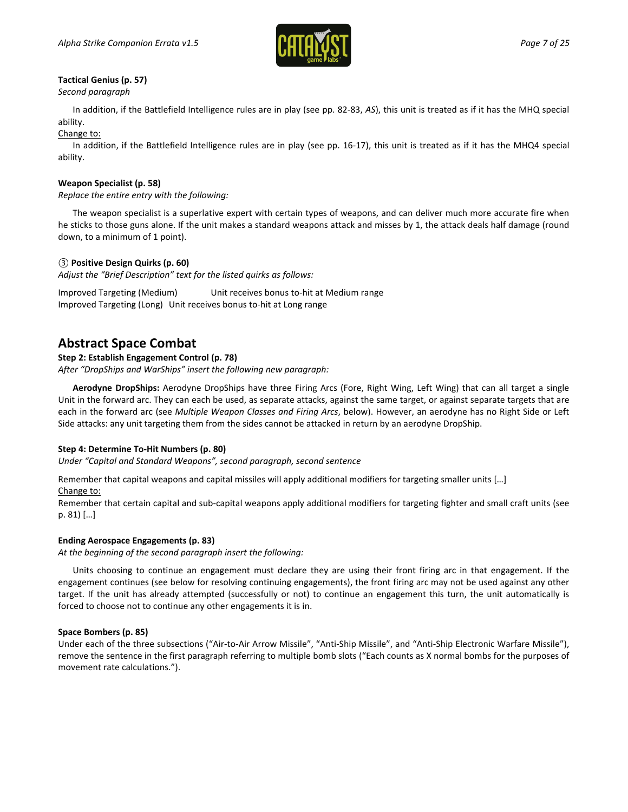

### **Tactical Genius (p. 57)**

*Second paragraph*

In addition, if the Battlefield Intelligence rules are in play (see pp. 82-83, *AS*), this unit is treated as if it has the MHQ special ability.

Change to:

In addition, if the Battlefield Intelligence rules are in play (see pp. 16-17), this unit is treated as if it has the MHQ4 special ability.

#### **Weapon Specialist (p. 58)**

*Replace the entire entry with the following:*

The weapon specialist is a superlative expert with certain types of weapons, and can deliver much more accurate fire when he sticks to those guns alone. If the unit makes a standard weapons attack and misses by 1, the attack deals half damage (round down, to a minimum of 1 point).

#### *③* **Positive Design Quirks (p. 60)**

*Adjust the "Brief Description" text for the listed quirks as follows:*

Improved Targeting (Medium) Unit receives bonus to-hit at Medium range Improved Targeting (Long) Unit receives bonus to-hit at Long range

### **Abstract Space Combat**

#### **Step 2: Establish Engagement Control (p. 78)**

*After "DropShips and WarShips" insert the following new paragraph:*

**Aerodyne DropShips:** Aerodyne DropShips have three Firing Arcs (Fore, Right Wing, Left Wing) that can all target a single Unit in the forward arc. They can each be used, as separate attacks, against the same target, or against separate targets that are each in the forward arc (see *Multiple Weapon Classes and Firing Arcs*, below). However, an aerodyne has no Right Side or Left Side attacks: any unit targeting them from the sides cannot be attacked in return by an aerodyne DropShip.

#### **Step 4: Determine To-Hit Numbers (p. 80)**

*Under "Capital and Standard Weapons", second paragraph, second sentence*

Remember that capital weapons and capital missiles will apply additional modifiers for targeting smaller units […]

Change to:

Remember that certain capital and sub-capital weapons apply additional modifiers for targeting fighter and small craft units (see p. 81) […]

#### **Ending Aerospace Engagements (p. 83)**

*At the beginning of the second paragraph insert the following:*

Units choosing to continue an engagement must declare they are using their front firing arc in that engagement. If the engagement continues (see below for resolving continuing engagements), the front firing arc may not be used against any other target. If the unit has already attempted (successfully or not) to continue an engagement this turn, the unit automatically is forced to choose not to continue any other engagements it is in.

#### **Space Bombers (p. 85)**

Under each of the three subsections ("Air-to-Air Arrow Missile", "Anti-Ship Missile", and "Anti-Ship Electronic Warfare Missile"), remove the sentence in the first paragraph referring to multiple bomb slots ("Each counts as X normal bombs for the purposes of movement rate calculations.").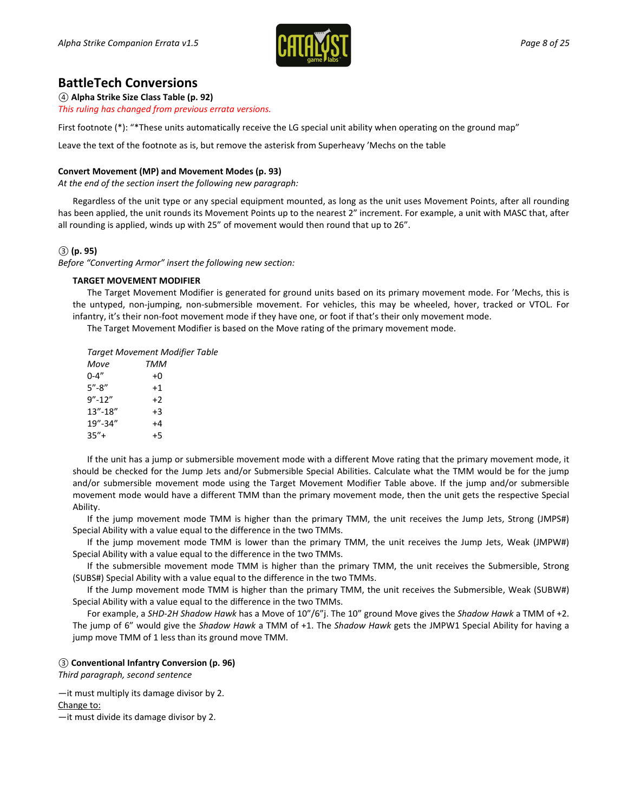

# **BattleTech Conversions**

*④* **Alpha Strike Size Class Table (p. 92)** *This ruling has changed from previous errata versions.*

First footnote (\*): "\*These units automatically receive the LG special unit ability when operating on the ground map"

Leave the text of the footnote as is, but remove the asterisk from Superheavy 'Mechs on the table

#### **Convert Movement (MP) and Movement Modes (p. 93)**

*At the end of the section insert the following new paragraph:*

Regardless of the unit type or any special equipment mounted, as long as the unit uses Movement Points, after all rounding has been applied, the unit rounds its Movement Points up to the nearest 2" increment. For example, a unit with MASC that, after all rounding is applied, winds up with 25" of movement would then round that up to 26".

#### *③* **(p. 95)**

*Before "Converting Armor" insert the following new section:*

#### **TARGET MOVEMENT MODIFIER**

The Target Movement Modifier is generated for ground units based on its primary movement mode. For 'Mechs, this is the untyped, non-jumping, non-submersible movement. For vehicles, this may be wheeled, hover, tracked or VTOL. For infantry, it's their non-foot movement mode if they have one, or foot if that's their only movement mode.

The Target Movement Modifier is based on the Move rating of the primary movement mode.

| TMM  |                                       |
|------|---------------------------------------|
| +0   |                                       |
| $+1$ |                                       |
| $+2$ |                                       |
| $+3$ |                                       |
| +4   |                                       |
| +5   |                                       |
|      | <b>Target Movement Modifier Table</b> |

If the unit has a jump or submersible movement mode with a different Move rating that the primary movement mode, it should be checked for the Jump Jets and/or Submersible Special Abilities. Calculate what the TMM would be for the jump and/or submersible movement mode using the Target Movement Modifier Table above. If the jump and/or submersible movement mode would have a different TMM than the primary movement mode, then the unit gets the respective Special Ability.

If the jump movement mode TMM is higher than the primary TMM, the unit receives the Jump Jets, Strong (JMPS#) Special Ability with a value equal to the difference in the two TMMs.

If the jump movement mode TMM is lower than the primary TMM, the unit receives the Jump Jets, Weak (JMPW#) Special Ability with a value equal to the difference in the two TMMs.

If the submersible movement mode TMM is higher than the primary TMM, the unit receives the Submersible, Strong (SUBS#) Special Ability with a value equal to the difference in the two TMMs.

If the Jump movement mode TMM is higher than the primary TMM, the unit receives the Submersible, Weak (SUBW#) Special Ability with a value equal to the difference in the two TMMs.

For example, a *SHD-2H Shadow Hawk* has a Move of 10"/6"j. The 10" ground Move gives the *Shadow Hawk* a TMM of +2. The jump of 6" would give the *Shadow Hawk* a TMM of +1. The *Shadow Hawk* gets the JMPW1 Special Ability for having a jump move TMM of 1 less than its ground move TMM.

#### *③* **Conventional Infantry Conversion (p. 96)**

*Third paragraph, second sentence*

—it must multiply its damage divisor by 2.

Change to:

—it must divide its damage divisor by 2.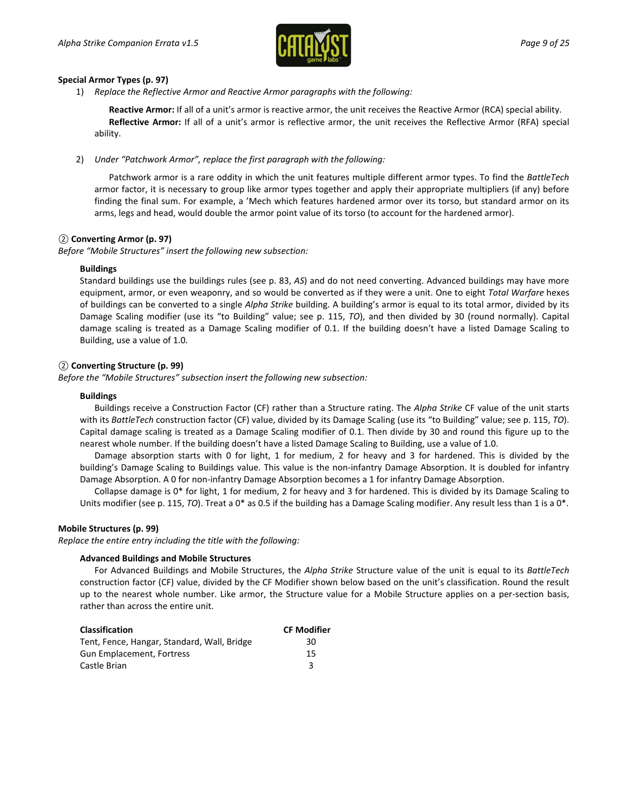

#### **Special Armor Types (p. 97)**

1) *Replace the Reflective Armor and Reactive Armor paragraphs with the following:*

**Reactive Armor:** If all of a unit's armor is reactive armor, the unit receives the Reactive Armor (RCA) special ability. **Reflective Armor:** If all of a unit's armor is reflective armor, the unit receives the Reflective Armor (RFA) special ability.

2) *Under "Patchwork Armor", replace the first paragraph with the following:*

Patchwork armor is a rare oddity in which the unit features multiple different armor types. To find the *BattleTech* armor factor, it is necessary to group like armor types together and apply their appropriate multipliers (if any) before finding the final sum. For example, a 'Mech which features hardened armor over its torso, but standard armor on its arms, legs and head, would double the armor point value of its torso (to account for the hardened armor).

#### *②* **Converting Armor (p. 97)**

*Before "Mobile Structures" insert the following new subsection:*

#### **Buildings**

Standard buildings use the buildings rules (see p. 83, *AS*) and do not need converting. Advanced buildings may have more equipment, armor, or even weaponry, and so would be converted as if they were a unit. One to eight *Total Warfare* hexes of buildings can be converted to a single *Alpha Strike* building. A building's armor is equal to its total armor, divided by its Damage Scaling modifier (use its "to Building" value; see p. 115, *TO*), and then divided by 30 (round normally). Capital damage scaling is treated as a Damage Scaling modifier of 0.1. If the building doesn't have a listed Damage Scaling to Building, use a value of 1.0.

#### *②* **Converting Structure (p. 99)**

*Before the "Mobile Structures" subsection insert the following new subsection:*

#### **Buildings**

Buildings receive a Construction Factor (CF) rather than a Structure rating. The *Alpha Strike* CF value of the unit starts with its *BattleTech* construction factor (CF) value, divided by its Damage Scaling (use its "to Building" value; see p. 115, *TO*). Capital damage scaling is treated as a Damage Scaling modifier of 0.1. Then divide by 30 and round this figure up to the nearest whole number. If the building doesn't have a listed Damage Scaling to Building, use a value of 1.0.

Damage absorption starts with 0 for light, 1 for medium, 2 for heavy and 3 for hardened. This is divided by the building's Damage Scaling to Buildings value. This value is the non-infantry Damage Absorption. It is doubled for infantry Damage Absorption. A 0 for non-infantry Damage Absorption becomes a 1 for infantry Damage Absorption.

Collapse damage is 0\* for light, 1 for medium, 2 for heavy and 3 for hardened. This is divided by its Damage Scaling to Units modifier (see p. 115, *TO*). Treat a 0<sup>\*</sup> as 0.5 if the building has a Damage Scaling modifier. Any result less than 1 is a 0<sup>\*</sup>.

#### **Mobile Structures (p. 99)**

*Replace the entire entry including the title with the following:*

#### **Advanced Buildings and Mobile Structures**

For Advanced Buildings and Mobile Structures, the *Alpha Strike* Structure value of the unit is equal to its *BattleTech* construction factor (CF) value, divided by the CF Modifier shown below based on the unit's classification. Round the result up to the nearest whole number. Like armor, the Structure value for a Mobile Structure applies on a per-section basis, rather than across the entire unit.

| Classification                              | <b>CF Modifier</b> |
|---------------------------------------------|--------------------|
| Tent, Fence, Hangar, Standard, Wall, Bridge | 30                 |
| Gun Emplacement, Fortress                   | 15                 |
| Castle Brian                                | ર                  |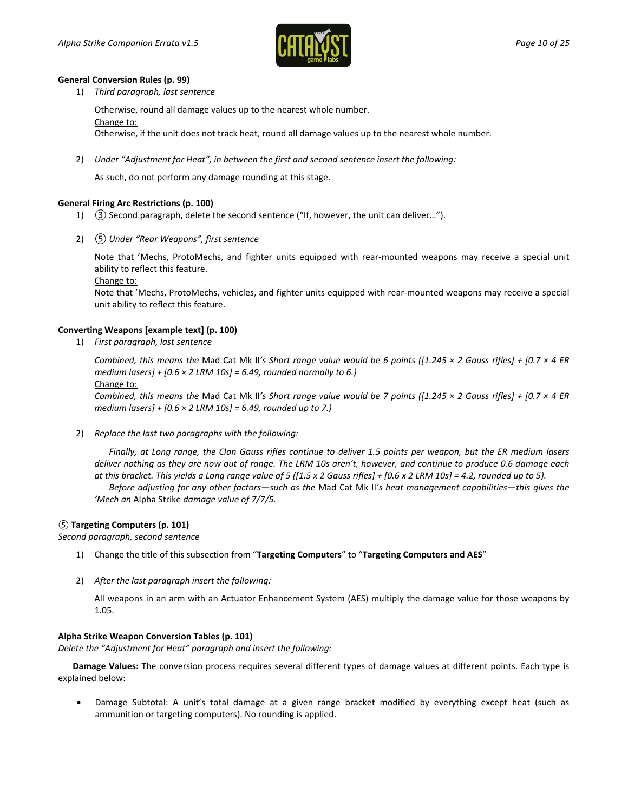

#### **General Conversion Rules (p. 99)**

1) *Third paragraph, last sentence*

Otherwise, round all damage values up to the nearest whole number.

Change to:

Otherwise, if the unit does not track heat, round all damage values up to the nearest whole number.

2) *Under "Adjustment for Heat", in between the first and second sentence insert the following:*

As such, do not perform any damage rounding at this stage.

#### **General Firing Arc Restrictions (p. 100)**

- 1) *③* Second paragraph, delete the second sentence ("If, however, the unit can deliver…").
- 2) *⑤ Under "Rear Weapons", first sentence*

Note that 'Mechs, ProtoMechs, and fighter units equipped with rear-mounted weapons may receive a special unit ability to reflect this feature.

Change to:

Note that 'Mechs, ProtoMechs, vehicles, and fighter units equipped with rear-mounted weapons may receive a special unit ability to reflect this feature.

#### **Converting Weapons [example text] (p. 100)**

1) *First paragraph, last sentence*

*Combined, this means the* Mad Cat Mk II*'s Short range value would be 6 points ([1.245 × 2 Gauss rifles] + [0.7 × 4 ER medium lasers] + [0.6 × 2 LRM 10s] = 6.49, rounded normally to 6.)*

Change to:

*Combined, this means the* Mad Cat Mk II*'s Short range value would be 7 points ([1.245 × 2 Gauss rifles] + [0.7 × 4 ER medium lasers] + [0.6 × 2 LRM 10s] = 6.49, rounded up to 7.)*

2) *Replace the last two paragraphs with the following:*

*Finally, at Long range, the Clan Gauss rifles continue to deliver 1.5 points per weapon, but the ER medium lasers deliver nothing as they are now out of range. The LRM 10s aren't, however, and continue to produce 0.6 damage each at this bracket. This yields a Long range value of 5 ([1.5 x 2 Gauss rifles] + [0.6 x 2 LRM 10s] = 4.2, rounded up to 5).*

*Before adjusting for any other factors—such as the* Mad Cat Mk II*'s heat management capabilities—this gives the 'Mech an* Alpha Strike *damage value of 7/7/5.*

#### *⑤* **Targeting Computers (p. 101)**

*Second paragraph, second sentence*

- 1) Change the title of this subsection from "**Targeting Computers**" to "**Targeting Computers and AES**"
- 2) *After the last paragraph insert the following:*

All weapons in an arm with an Actuator Enhancement System (AES) multiply the damage value for those weapons by 1.05.

#### **Alpha Strike Weapon Conversion Tables (p. 101)**

*Delete the "Adjustment for Heat" paragraph and insert the following:*

**Damage Values:** The conversion process requires several different types of damage values at different points. Each type is explained below:

• Damage Subtotal: A unit's total damage at a given range bracket modified by everything except heat (such as ammunition or targeting computers). No rounding is applied.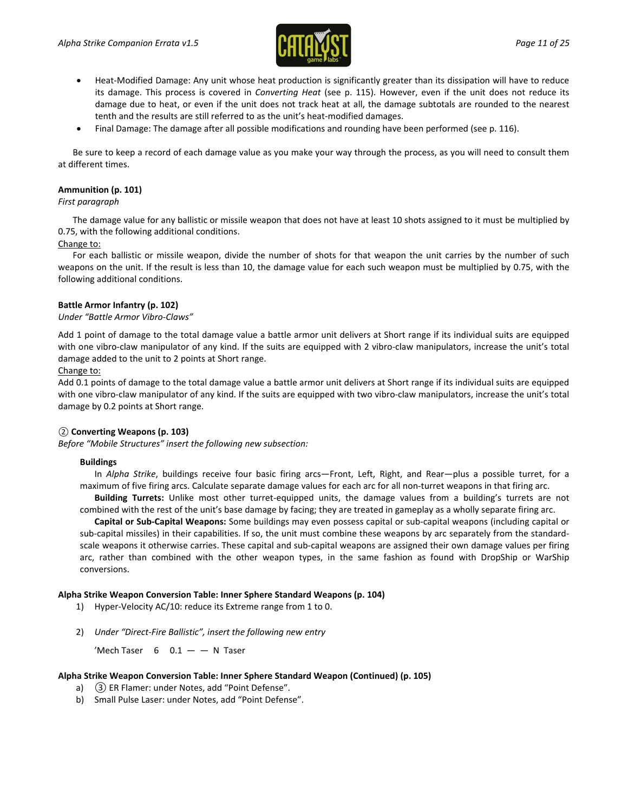

- Heat-Modified Damage: Any unit whose heat production is significantly greater than its dissipation will have to reduce its damage. This process is covered in *Converting Heat* (see p. 115). However, even if the unit does not reduce its damage due to heat, or even if the unit does not track heat at all, the damage subtotals are rounded to the nearest tenth and the results are still referred to as the unit's heat-modified damages.
- Final Damage: The damage after all possible modifications and rounding have been performed (see p. 116).

Be sure to keep a record of each damage value as you make your way through the process, as you will need to consult them at different times.

#### **Ammunition (p. 101)**

#### *First paragraph*

The damage value for any ballistic or missile weapon that does not have at least 10 shots assigned to it must be multiplied by 0.75, with the following additional conditions.

#### Change to:

For each ballistic or missile weapon, divide the number of shots for that weapon the unit carries by the number of such weapons on the unit. If the result is less than 10, the damage value for each such weapon must be multiplied by 0.75, with the following additional conditions.

#### **Battle Armor Infantry (p. 102)**

#### *Under "Battle Armor Vibro-Claws"*

Add 1 point of damage to the total damage value a battle armor unit delivers at Short range if its individual suits are equipped with one vibro-claw manipulator of any kind. If the suits are equipped with 2 vibro-claw manipulators, increase the unit's total damage added to the unit to 2 points at Short range.

#### Change to:

Add 0.1 points of damage to the total damage value a battle armor unit delivers at Short range if its individual suits are equipped with one vibro-claw manipulator of any kind. If the suits are equipped with two vibro-claw manipulators, increase the unit's total damage by 0.2 points at Short range.

#### *②* **Converting Weapons (p. 103)**

*Before "Mobile Structures" insert the following new subsection:*

#### **Buildings**

In *Alpha Strike*, buildings receive four basic firing arcs—Front, Left, Right, and Rear—plus a possible turret, for a maximum of five firing arcs. Calculate separate damage values for each arc for all non-turret weapons in that firing arc.

**Building Turrets:** Unlike most other turret-equipped units, the damage values from a building's turrets are not combined with the rest of the unit's base damage by facing; they are treated in gameplay as a wholly separate firing arc.

**Capital or Sub-Capital Weapons:** Some buildings may even possess capital or sub-capital weapons (including capital or sub-capital missiles) in their capabilities. If so, the unit must combine these weapons by arc separately from the standardscale weapons it otherwise carries. These capital and sub-capital weapons are assigned their own damage values per firing arc, rather than combined with the other weapon types, in the same fashion as found with DropShip or WarShip conversions.

#### **Alpha Strike Weapon Conversion Table: Inner Sphere Standard Weapons (p. 104)**

- 1) Hyper-Velocity AC/10: reduce its Extreme range from 1 to 0.
- 2) *Under "Direct-Fire Ballistic", insert the following new entry*

'Mech Taser  $6$   $0.1 - -$  N Taser

#### **Alpha Strike Weapon Conversion Table: Inner Sphere Standard Weapon (Continued) (p. 105)**

- a) *③* ER Flamer: under Notes, add "Point Defense".
- b) Small Pulse Laser: under Notes, add "Point Defense".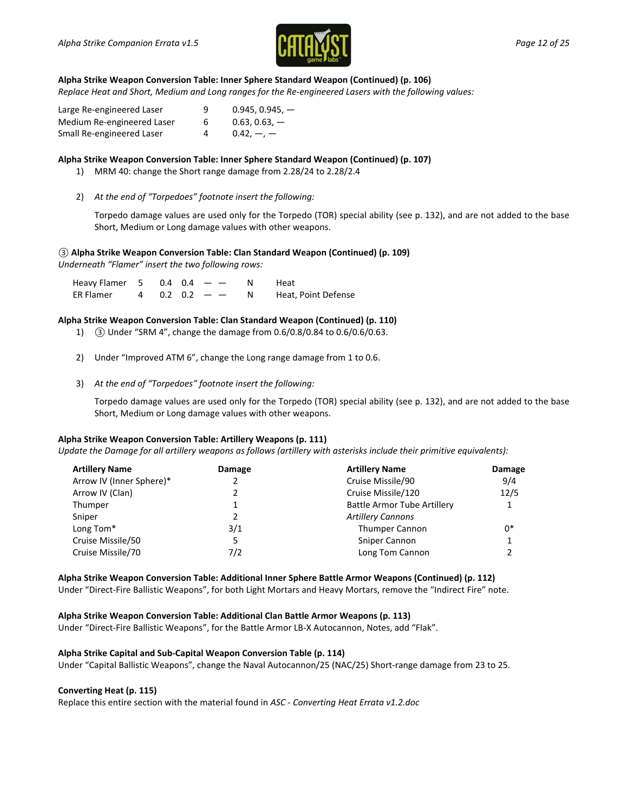

#### **Alpha Strike Weapon Conversion Table: Inner Sphere Standard Weapon (Continued) (p. 106)**

*Replace Heat and Short, Medium and Long ranges for the Re-engineered Lasers with the following values:*

| Large Re-engineered Laser  | 9 | $0.945, 0.945, -$ |
|----------------------------|---|-------------------|
| Medium Re-engineered Laser | 6 | $0.63, 0.63, -$   |
| Small Re-engineered Laser  | 4 | $0.42, -,-$       |

#### **Alpha Strike Weapon Conversion Table: Inner Sphere Standard Weapon (Continued) (p. 107)**

- 1) MRM 40: change the Short range damage from 2.28/24 to 2.28/2.4
- 2) *At the end of "Torpedoes" footnote insert the following:*

Torpedo damage values are used only for the Torpedo (TOR) special ability (see p. 132), and are not added to the base Short, Medium or Long damage values with other weapons.

#### *③* **Alpha Strike Weapon Conversion Table: Clan Standard Weapon (Continued) (p. 109)**

*Underneath "Flamer" insert the two following rows:* 

| Heavy Flamer 5 0.4 0.4 $-$ |  |                  | Heat                |
|----------------------------|--|------------------|---------------------|
| ER Flamer                  |  | $4$ 0.2 0.2 $ -$ | Heat, Point Defense |

#### **Alpha Strike Weapon Conversion Table: Clan Standard Weapon (Continued) (p. 110)**

- 1) *③* Under "SRM 4", change the damage from 0.6/0.8/0.84 to 0.6/0.6/0.63.
- 2) Under "Improved ATM 6", change the Long range damage from 1 to 0.6.
- 3) *At the end of "Torpedoes" footnote insert the following:*

Torpedo damage values are used only for the Torpedo (TOR) special ability (see p. 132), and are not added to the base Short, Medium or Long damage values with other weapons.

#### **Alpha Strike Weapon Conversion Table: Artillery Weapons (p. 111)**

*Update the Damage for all artillery weapons as follows (artillery with asterisks include their primitive equivalents):*

| <b>Artillery Name</b>    | Damage | <b>Artillery Name</b>              | Damage       |
|--------------------------|--------|------------------------------------|--------------|
| Arrow IV (Inner Sphere)* |        | Cruise Missile/90                  | 9/4          |
| Arrow IV (Clan)          |        | Cruise Missile/120                 | 12/5         |
| Thumper                  |        | <b>Battle Armor Tube Artillery</b> | $\mathbf{1}$ |
| Sniper                   |        | <b>Artillery Cannons</b>           |              |
| Long Tom*                | 3/1    | <b>Thumper Cannon</b>              | 0*           |
| Cruise Missile/50        |        | Sniper Cannon                      |              |
| Cruise Missile/70        | 7/2    | Long Tom Cannon                    |              |

**Alpha Strike Weapon Conversion Table: Additional Inner Sphere Battle Armor Weapons (Continued) (p. 112)** Under "Direct-Fire Ballistic Weapons", for both Light Mortars and Heavy Mortars, remove the "Indirect Fire" note.

#### **Alpha Strike Weapon Conversion Table: Additional Clan Battle Armor Weapons (p. 113)**

Under "Direct-Fire Ballistic Weapons", for the Battle Armor LB-X Autocannon, Notes, add "Flak".

#### **Alpha Strike Capital and Sub-Capital Weapon Conversion Table (p. 114)**

Under "Capital Ballistic Weapons", change the Naval Autocannon/25 (NAC/25) Short-range damage from 23 to 25.

#### **Converting Heat (p. 115)**

Replace this entire section with the material found in *ASC - Converting Heat Errata v1.2.doc*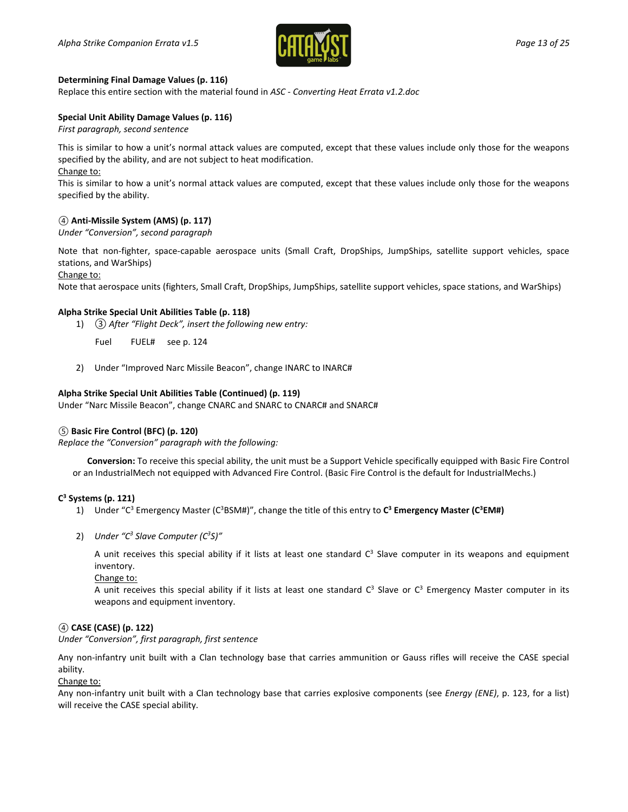

#### **Determining Final Damage Values (p. 116)**

Replace this entire section with the material found in *ASC - Converting Heat Errata v1.2.doc*

#### **Special Unit Ability Damage Values (p. 116)**

*First paragraph, second sentence*

This is similar to how a unit's normal attack values are computed, except that these values include only those for the weapons specified by the ability, and are not subject to heat modification.

#### Change to:

This is similar to how a unit's normal attack values are computed, except that these values include only those for the weapons specified by the ability.

#### *④* **Anti-Missile System (AMS) (p. 117)**

*Under "Conversion", second paragraph*

Note that non-fighter, space-capable aerospace units (Small Craft, DropShips, JumpShips, satellite support vehicles, space stations, and WarShips)

Change to:

Note that aerospace units (fighters, Small Craft, DropShips, JumpShips, satellite support vehicles, space stations, and WarShips)

#### **Alpha Strike Special Unit Abilities Table (p. 118)**

1) *③ After "Flight Deck", insert the following new entry:*

Fuel FUEL# see p. 124

2) Under "Improved Narc Missile Beacon", change INARC to INARC#

#### **Alpha Strike Special Unit Abilities Table (Continued) (p. 119)**

Under "Narc Missile Beacon", change CNARC and SNARC to CNARC# and SNARC#

#### *⑤* **Basic Fire Control (BFC) (p. 120)**

*Replace the "Conversion" paragraph with the following:*

**Conversion:** To receive this special ability, the unit must be a Support Vehicle specifically equipped with Basic Fire Control or an IndustrialMech not equipped with Advanced Fire Control. (Basic Fire Control is the default for IndustrialMechs.)

#### **C3 Systems (p. 121)**

- 1) Under "C<sup>3</sup> Emergency Master (C<sup>3</sup>BSM#)", change the title of this entry to C<sup>3</sup> Emergency Master (C<sup>3</sup>EM#)
- 2) Under "C<sup>3</sup> Slave Computer (C<sup>3</sup>S)"

A unit receives this special ability if it lists at least one standard  $C<sup>3</sup>$  Slave computer in its weapons and equipment inventory.

Change to:

A unit receives this special ability if it lists at least one standard  $C^3$  Slave or  $C^3$  Emergency Master computer in its weapons and equipment inventory.

#### *④* **CASE (CASE) (p. 122)**

*Under "Conversion", first paragraph, first sentence*

Any non-infantry unit built with a Clan technology base that carries ammunition or Gauss rifles will receive the CASE special ability.

Change to:

Any non-infantry unit built with a Clan technology base that carries explosive components (see *Energy (ENE)*, p. 123, for a list) will receive the CASE special ability.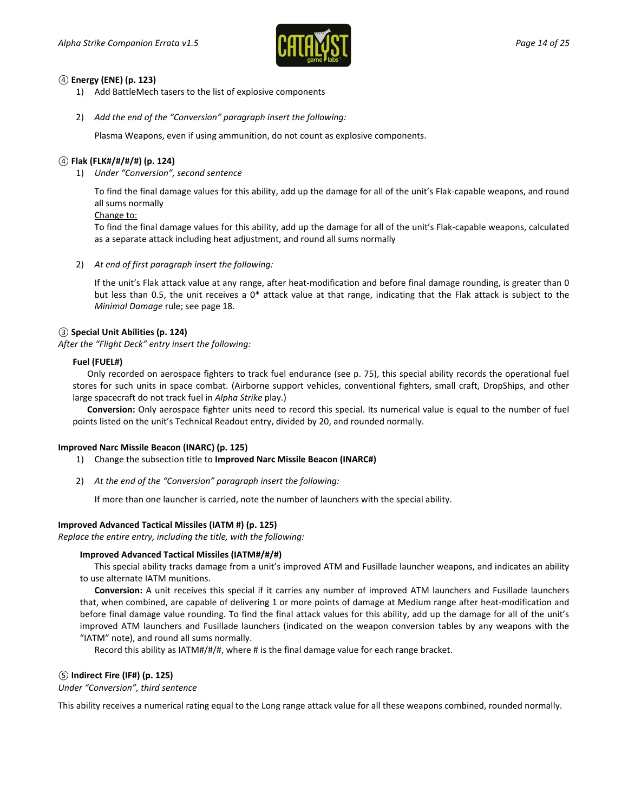

#### *④* **Energy (ENE) (p. 123)**

- 1) Add BattleMech tasers to the list of explosive components
- 2) *Add the end of the "Conversion" paragraph insert the following:*

Plasma Weapons, even if using ammunition, do not count as explosive components.

#### *④* **Flak (FLK#/#/#/#) (p. 124)**

1) *Under "Conversion", second sentence*

To find the final damage values for this ability, add up the damage for all of the unit's Flak-capable weapons, and round all sums normally

#### Change to:

To find the final damage values for this ability, add up the damage for all of the unit's Flak-capable weapons, calculated as a separate attack including heat adjustment, and round all sums normally

2) *At end of first paragraph insert the following:*

If the unit's Flak attack value at any range, after heat-modification and before final damage rounding, is greater than 0 but less than 0.5, the unit receives a  $0^*$  attack value at that range, indicating that the Flak attack is subject to the *Minimal Damage* rule; see page 18.

#### *③* **Special Unit Abilities (p. 124)**

*After the "Flight Deck" entry insert the following:*

#### **Fuel (FUEL#)**

Only recorded on aerospace fighters to track fuel endurance (see p. 75), this special ability records the operational fuel stores for such units in space combat. (Airborne support vehicles, conventional fighters, small craft, DropShips, and other large spacecraft do not track fuel in *Alpha Strike* play.)

**Conversion:** Only aerospace fighter units need to record this special. Its numerical value is equal to the number of fuel points listed on the unit's Technical Readout entry, divided by 20, and rounded normally.

#### **Improved Narc Missile Beacon (INARC) (p. 125)**

- 1) Change the subsection title to **Improved Narc Missile Beacon (INARC#)**
- 2) *At the end of the "Conversion" paragraph insert the following:*

If more than one launcher is carried, note the number of launchers with the special ability.

#### **Improved Advanced Tactical Missiles (IATM #) (p. 125)**

*Replace the entire entry, including the title, with the following:*

#### **Improved Advanced Tactical Missiles (IATM#/#/#)**

This special ability tracks damage from a unit's improved ATM and Fusillade launcher weapons, and indicates an ability to use alternate IATM munitions.

**Conversion:** A unit receives this special if it carries any number of improved ATM launchers and Fusillade launchers that, when combined, are capable of delivering 1 or more points of damage at Medium range after heat-modification and before final damage value rounding. To find the final attack values for this ability, add up the damage for all of the unit's improved ATM launchers and Fusillade launchers (indicated on the weapon conversion tables by any weapons with the "IATM" note), and round all sums normally.

Record this ability as IATM#/#/#, where # is the final damage value for each range bracket.

#### *⑤* **Indirect Fire (IF#) (p. 125)**

*Under "Conversion", third sentence*

This ability receives a numerical rating equal to the Long range attack value for all these weapons combined, rounded normally.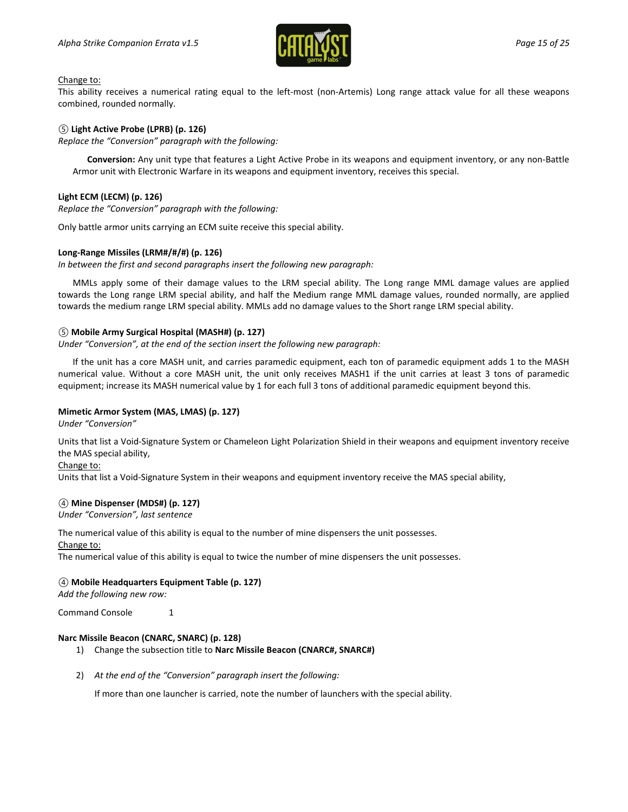

#### Change to:

This ability receives a numerical rating equal to the left-most (non-Artemis) Long range attack value for all these weapons combined, rounded normally.

#### *⑤* **Light Active Probe (LPRB) (p. 126)**

*Replace the "Conversion" paragraph with the following:*

**Conversion:** Any unit type that features a Light Active Probe in its weapons and equipment inventory, or any non-Battle Armor unit with Electronic Warfare in its weapons and equipment inventory, receives this special.

#### **Light ECM (LECM) (p. 126)**

*Replace the "Conversion" paragraph with the following:*

Only battle armor units carrying an ECM suite receive this special ability.

#### **Long-Range Missiles (LRM#/#/#) (p. 126)**

*In between the first and second paragraphs insert the following new paragraph:*

MMLs apply some of their damage values to the LRM special ability. The Long range MML damage values are applied towards the Long range LRM special ability, and half the Medium range MML damage values, rounded normally, are applied towards the medium range LRM special ability. MMLs add no damage values to the Short range LRM special ability.

#### *⑤* **Mobile Army Surgical Hospital (MASH#) (p. 127)**

*Under "Conversion", at the end of the section insert the following new paragraph:*

If the unit has a core MASH unit, and carries paramedic equipment, each ton of paramedic equipment adds 1 to the MASH numerical value. Without a core MASH unit, the unit only receives MASH1 if the unit carries at least 3 tons of paramedic equipment; increase its MASH numerical value by 1 for each full 3 tons of additional paramedic equipment beyond this.

#### **Mimetic Armor System (MAS, LMAS) (p. 127)**

*Under "Conversion"*

Units that list a Void-Signature System or Chameleon Light Polarization Shield in their weapons and equipment inventory receive the MAS special ability,

#### Change to:

Units that list a Void-Signature System in their weapons and equipment inventory receive the MAS special ability,

#### *④* **Mine Dispenser (MDS#) (p. 127)**

*Under "Conversion", last sentence*

The numerical value of this ability is equal to the number of mine dispensers the unit possesses.

#### Change to:

The numerical value of this ability is equal to twice the number of mine dispensers the unit possesses.

#### *④* **Mobile Headquarters Equipment Table (p. 127)**

*Add the following new row:*

Command Console 1

#### **Narc Missile Beacon (CNARC, SNARC) (p. 128)**

- 1) Change the subsection title to **Narc Missile Beacon (CNARC#, SNARC#)**
- 2) *At the end of the "Conversion" paragraph insert the following:*

If more than one launcher is carried, note the number of launchers with the special ability.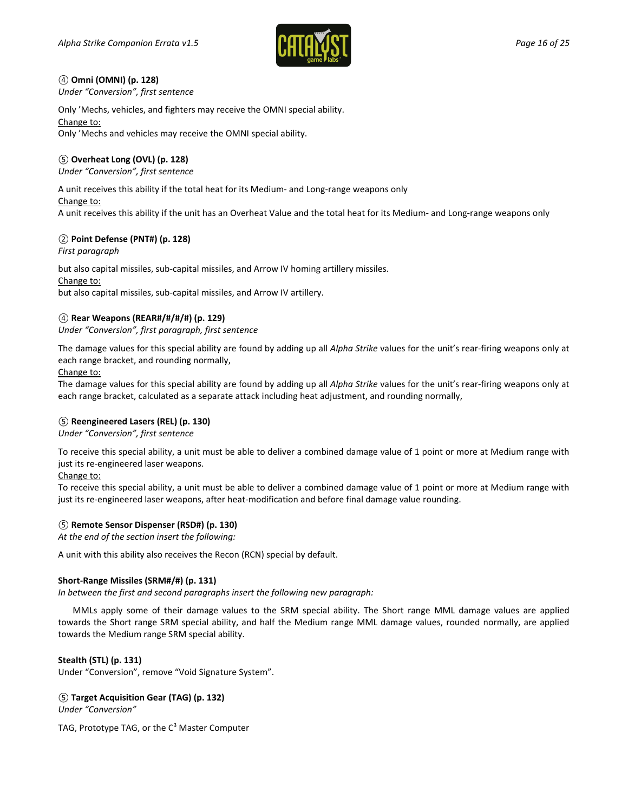

#### *④* **Omni (OMNI) (p. 128)**

*Under "Conversion", first sentence*

Only 'Mechs, vehicles, and fighters may receive the OMNI special ability. Change to: Only 'Mechs and vehicles may receive the OMNI special ability.

#### *⑤* **Overheat Long (OVL) (p. 128)**

*Under "Conversion", first sentence*

A unit receives this ability if the total heat for its Medium- and Long-range weapons only

Change to:

A unit receives this ability if the unit has an Overheat Value and the total heat for its Medium- and Long-range weapons only

#### *②* **Point Defense (PNT#) (p. 128)**

*First paragraph*

but also capital missiles, sub-capital missiles, and Arrow IV homing artillery missiles.

#### Change to:

but also capital missiles, sub-capital missiles, and Arrow IV artillery.

#### *④* **Rear Weapons (REAR#/#/#/#) (p. 129)**

*Under "Conversion", first paragraph, first sentence*

The damage values for this special ability are found by adding up all *Alpha Strike* values for the unit's rear-firing weapons only at each range bracket, and rounding normally,

Change to:

The damage values for this special ability are found by adding up all *Alpha Strike* values for the unit's rear-firing weapons only at each range bracket, calculated as a separate attack including heat adjustment, and rounding normally,

#### *⑤* **Reengineered Lasers (REL) (p. 130)**

*Under "Conversion", first sentence*

To receive this special ability, a unit must be able to deliver a combined damage value of 1 point or more at Medium range with just its re-engineered laser weapons.

#### Change to:

To receive this special ability, a unit must be able to deliver a combined damage value of 1 point or more at Medium range with just its re-engineered laser weapons, after heat-modification and before final damage value rounding.

#### *⑤* **Remote Sensor Dispenser (RSD#) (p. 130)**

*At the end of the section insert the following:*

A unit with this ability also receives the Recon (RCN) special by default.

### **Short-Range Missiles (SRM#/#) (p. 131)**

*In between the first and second paragraphs insert the following new paragraph:*

MMLs apply some of their damage values to the SRM special ability. The Short range MML damage values are applied towards the Short range SRM special ability, and half the Medium range MML damage values, rounded normally, are applied towards the Medium range SRM special ability.

#### **Stealth (STL) (p. 131)**

Under "Conversion", remove "Void Signature System".

*⑤* **Target Acquisition Gear (TAG) (p. 132)**

*Under "Conversion"*

TAG, Prototype TAG, or the  $C<sup>3</sup>$  Master Computer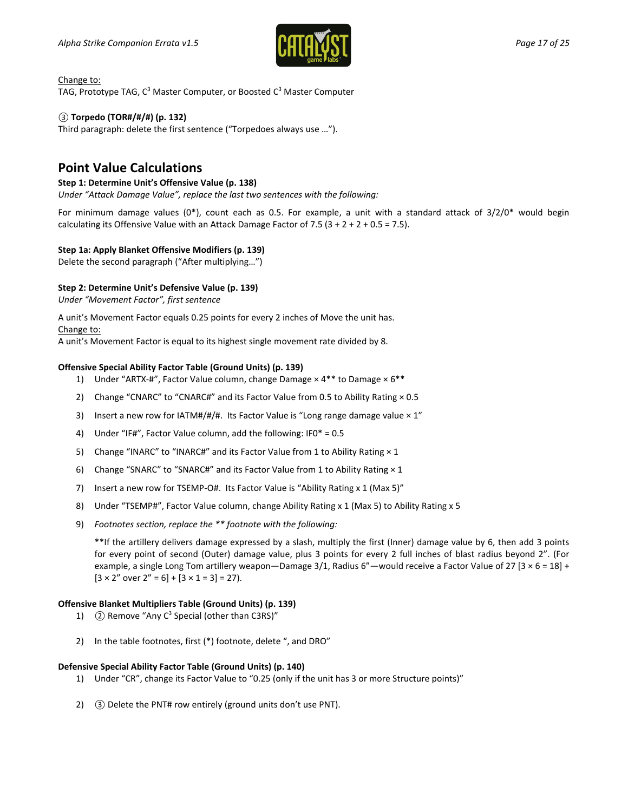

Change to:

TAG, Prototype TAG,  $C^3$  Master Computer, or Boosted  $C^3$  Master Computer

#### *③* **Torpedo (TOR#/#/#) (p. 132)**

Third paragraph: delete the first sentence ("Torpedoes always use …").

# **Point Value Calculations**

#### **Step 1: Determine Unit's Offensive Value (p. 138)**

*Under "Attack Damage Value", replace the last two sentences with the following:*

For minimum damage values  $(0^*)$ , count each as 0.5. For example, a unit with a standard attack of  $3/2/0^*$  would begin calculating its Offensive Value with an Attack Damage Factor of 7.5  $(3 + 2 + 2 + 0.5 = 7.5)$ .

#### **Step 1a: Apply Blanket Offensive Modifiers (p. 139)**

Delete the second paragraph ("After multiplying…")

#### **Step 2: Determine Unit's Defensive Value (p. 139)**

*Under "Movement Factor", first sentence*

A unit's Movement Factor equals 0.25 points for every 2 inches of Move the unit has. Change to:

A unit's Movement Factor is equal to its highest single movement rate divided by 8.

#### **Offensive Special Ability Factor Table (Ground Units) (p. 139)**

- 1) Under "ARTX-#", Factor Value column, change Damage  $\times$  4<sup>\*\*</sup> to Damage  $\times$  6<sup>\*\*</sup>
- 2) Change "CNARC" to "CNARC#" and its Factor Value from 0.5 to Ability Rating  $\times$  0.5
- 3) Insert a new row for IATM#/#/#. Its Factor Value is "Long range damage value  $\times 1$ "
- 4) Under "IF#", Factor Value column, add the following: IF0\* = 0.5
- 5) Change "INARC" to "INARC#" and its Factor Value from 1 to Ability Rating  $\times$  1
- 6) Change "SNARC" to "SNARC#" and its Factor Value from 1 to Ability Rating × 1
- 7) Insert a new row for TSEMP-O#. Its Factor Value is "Ability Rating x 1 (Max 5)"
- 8) Under "TSEMP#", Factor Value column, change Ability Rating x 1 (Max 5) to Ability Rating x 5
- 9) *Footnotes section, replace the \*\* footnote with the following:*

\*\*If the artillery delivers damage expressed by a slash, multiply the first (Inner) damage value by 6, then add 3 points for every point of second (Outer) damage value, plus 3 points for every 2 full inches of blast radius beyond 2". (For example, a single Long Tom artillery weapon—Damage 3/1, Radius 6"—would receive a Factor Value of 27 [3  $\times$  6 = 18] +  $[3 \times 2"$  over  $2" = 6] + [3 \times 1 = 3] = 27$ .

#### **Offensive Blanket Multipliers Table (Ground Units) (p. 139)**

- 1) **(2) Remove "Any C<sup>3</sup> Special (other than C3RS)"**
- 2) In the table footnotes, first (\*) footnote, delete ", and DRO"

#### **Defensive Special Ability Factor Table (Ground Units) (p. 140)**

- 1) Under "CR", change its Factor Value to "0.25 (only if the unit has 3 or more Structure points)"
- 2) *③* Delete the PNT# row entirely (ground units don't use PNT).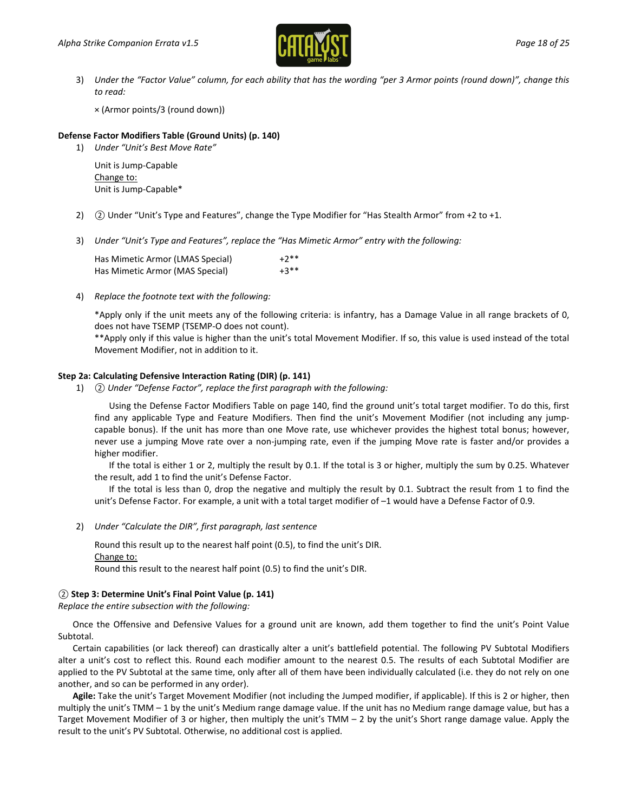

3) *Under the "Factor Value" column, for each ability that has the wording "per 3 Armor points (round down)", change this to read:*

× (Armor points/3 (round down))

#### **Defense Factor Modifiers Table (Ground Units) (p. 140)**

1) *Under "Unit's Best Move Rate"*

Unit is Jump-Capable Change to: Unit is Jump-Capable\*

- 2) *②* Under "Unit's Type and Features", change the Type Modifier for "Has Stealth Armor" from +2 to +1.
- 3) *Under "Unit's Type and Features", replace the "Has Mimetic Armor" entry with the following:*

Has Mimetic Armor (LMAS Special)  $+2^{**}$ Has Mimetic Armor (MAS Special)  $+3**$ 

4) *Replace the footnote text with the following:*

\*Apply only if the unit meets any of the following criteria: is infantry, has a Damage Value in all range brackets of 0, does not have TSEMP (TSEMP-O does not count).

\*\*Apply only if this value is higher than the unit's total Movement Modifier. If so, this value is used instead of the total Movement Modifier, not in addition to it.

#### **Step 2a: Calculating Defensive Interaction Rating (DIR) (p. 141)**

1) *② Under "Defense Factor", replace the first paragraph with the following:*

Using the Defense Factor Modifiers Table on page 140, find the ground unit's total target modifier. To do this, first find any applicable Type and Feature Modifiers. Then find the unit's Movement Modifier (not including any jumpcapable bonus). If the unit has more than one Move rate, use whichever provides the highest total bonus; however, never use a jumping Move rate over a non-jumping rate, even if the jumping Move rate is faster and/or provides a higher modifier.

If the total is either 1 or 2, multiply the result by 0.1. If the total is 3 or higher, multiply the sum by 0.25. Whatever the result, add 1 to find the unit's Defense Factor.

If the total is less than 0, drop the negative and multiply the result by 0.1. Subtract the result from 1 to find the unit's Defense Factor. For example, a unit with a total target modifier of –1 would have a Defense Factor of 0.9.

2) *Under "Calculate the DIR", first paragraph, last sentence*

Round this result up to the nearest half point (0.5), to find the unit's DIR. Change to: Round this result to the nearest half point (0.5) to find the unit's DIR.

#### *②* **Step 3: Determine Unit's Final Point Value (p. 141)**

*Replace the entire subsection with the following:*

Once the Offensive and Defensive Values for a ground unit are known, add them together to find the unit's Point Value Subtotal.

Certain capabilities (or lack thereof) can drastically alter a unit's battlefield potential. The following PV Subtotal Modifiers alter a unit's cost to reflect this. Round each modifier amount to the nearest 0.5. The results of each Subtotal Modifier are applied to the PV Subtotal at the same time, only after all of them have been individually calculated (i.e. they do not rely on one another, and so can be performed in any order).

**Agile:** Take the unit's Target Movement Modifier (not including the Jumped modifier, if applicable). If this is 2 or higher, then multiply the unit's TMM – 1 by the unit's Medium range damage value. If the unit has no Medium range damage value, but has a Target Movement Modifier of 3 or higher, then multiply the unit's TMM – 2 by the unit's Short range damage value. Apply the result to the unit's PV Subtotal. Otherwise, no additional cost is applied.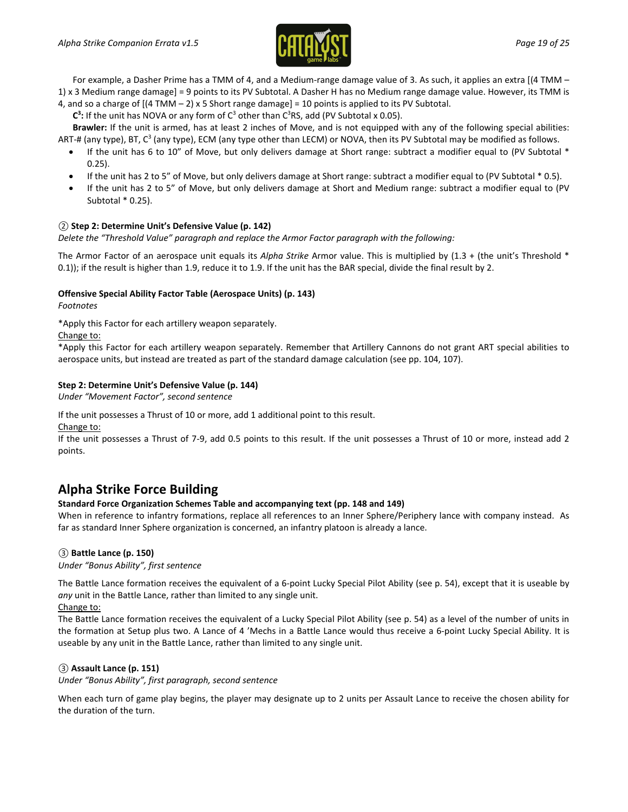

For example, a Dasher Prime has a TMM of 4, and a Medium-range damage value of 3. As such, it applies an extra [(4 TMM – 1) x 3 Medium range damage] = 9 points to its PV Subtotal. A Dasher H has no Medium range damage value. However, its TMM is

4, and so a charge of  $[(4 TMM - 2) \times 5$  Short range damage] = 10 points is applied to its PV Subtotal.  $C^3$ : If the unit has NOVA or any form of  $C^3$  other than  $C^3RS$ , add (PV Subtotal x 0.05).

**Brawler:** If the unit is armed, has at least 2 inches of Move, and is not equipped with any of the following special abilities: ART-# (any type), BT,  $C^3$  (any type), ECM (any type other than LECM) or NOVA, then its PV Subtotal may be modified as follows.

- If the unit has 6 to 10" of Move, but only delivers damage at Short range: subtract a modifier equal to (PV Subtotal \* 0.25).
- If the unit has 2 to 5" of Move, but only delivers damage at Short range: subtract a modifier equal to (PV Subtotal \* 0.5).
- If the unit has 2 to 5" of Move, but only delivers damage at Short and Medium range: subtract a modifier equal to (PV Subtotal \* 0.25).

#### *②* **Step 2: Determine Unit's Defensive Value (p. 142)**

*Delete the "Threshold Value" paragraph and replace the Armor Factor paragraph with the following:*

The Armor Factor of an aerospace unit equals its *Alpha Strike* Armor value. This is multiplied by (1.3 + (the unit's Threshold \* 0.1)); if the result is higher than 1.9, reduce it to 1.9. If the unit has the BAR special, divide the final result by 2.

#### **Offensive Special Ability Factor Table (Aerospace Units) (p. 143)**

*Footnotes*

\*Apply this Factor for each artillery weapon separately.

Change to:

\*Apply this Factor for each artillery weapon separately. Remember that Artillery Cannons do not grant ART special abilities to aerospace units, but instead are treated as part of the standard damage calculation (see pp. 104, 107).

#### **Step 2: Determine Unit's Defensive Value (p. 144)**

*Under "Movement Factor", second sentence*

If the unit possesses a Thrust of 10 or more, add 1 additional point to this result.

Change to:

If the unit possesses a Thrust of 7-9, add 0.5 points to this result. If the unit possesses a Thrust of 10 or more, instead add 2 points.

# **Alpha Strike Force Building**

#### **Standard Force Organization Schemes Table and accompanying text (pp. 148 and 149)**

When in reference to infantry formations, replace all references to an Inner Sphere/Periphery lance with company instead. As far as standard Inner Sphere organization is concerned, an infantry platoon is already a lance.

#### *③* **Battle Lance (p. 150)**

*Under "Bonus Ability", first sentence*

The Battle Lance formation receives the equivalent of a 6-point Lucky Special Pilot Ability (see p. 54), except that it is useable by *any* unit in the Battle Lance, rather than limited to any single unit.

Change to:

The Battle Lance formation receives the equivalent of a Lucky Special Pilot Ability (see p. 54) as a level of the number of units in the formation at Setup plus two. A Lance of 4 'Mechs in a Battle Lance would thus receive a 6-point Lucky Special Ability. It is useable by any unit in the Battle Lance, rather than limited to any single unit.

#### *③* **Assault Lance (p. 151)**

*Under "Bonus Ability", first paragraph, second sentence*

When each turn of game play begins, the player may designate up to 2 units per Assault Lance to receive the chosen ability for the duration of the turn.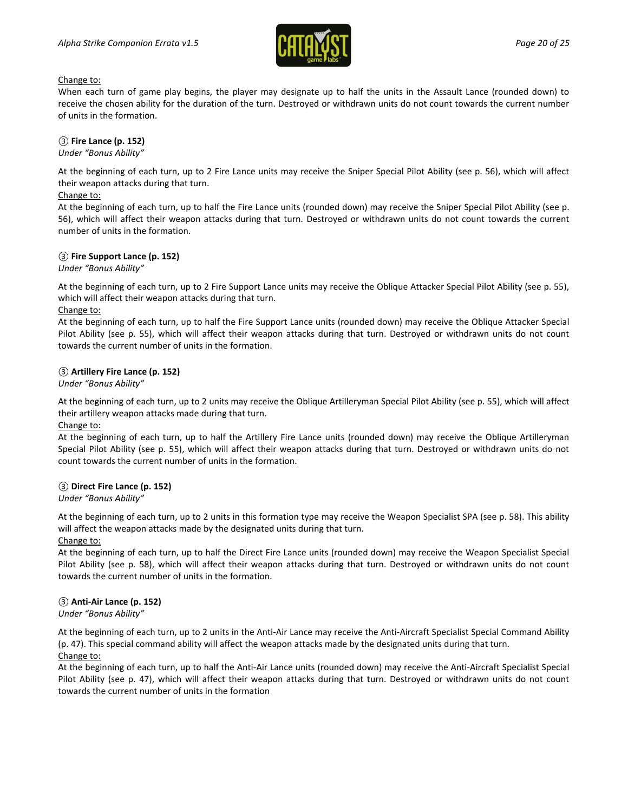

#### Change to:

When each turn of game play begins, the player may designate up to half the units in the Assault Lance (rounded down) to receive the chosen ability for the duration of the turn. Destroyed or withdrawn units do not count towards the current number of units in the formation.

#### *③* **Fire Lance (p. 152)**

*Under "Bonus Ability"*

At the beginning of each turn, up to 2 Fire Lance units may receive the Sniper Special Pilot Ability (see p. 56), which will affect their weapon attacks during that turn.

#### Change to:

At the beginning of each turn, up to half the Fire Lance units (rounded down) may receive the Sniper Special Pilot Ability (see p. 56), which will affect their weapon attacks during that turn. Destroyed or withdrawn units do not count towards the current number of units in the formation.

#### *③* **Fire Support Lance (p. 152)**

*Under "Bonus Ability"*

At the beginning of each turn, up to 2 Fire Support Lance units may receive the Oblique Attacker Special Pilot Ability (see p. 55), which will affect their weapon attacks during that turn.

#### Change to:

At the beginning of each turn, up to half the Fire Support Lance units (rounded down) may receive the Oblique Attacker Special Pilot Ability (see p. 55), which will affect their weapon attacks during that turn. Destroyed or withdrawn units do not count towards the current number of units in the formation.

#### *③* **Artillery Fire Lance (p. 152)**

*Under "Bonus Ability"*

At the beginning of each turn, up to 2 units may receive the Oblique Artilleryman Special Pilot Ability (see p. 55), which will affect their artillery weapon attacks made during that turn.

Change to:

At the beginning of each turn, up to half the Artillery Fire Lance units (rounded down) may receive the Oblique Artilleryman Special Pilot Ability (see p. 55), which will affect their weapon attacks during that turn. Destroyed or withdrawn units do not count towards the current number of units in the formation.

#### *③* **Direct Fire Lance (p. 152)**

*Under "Bonus Ability"*

At the beginning of each turn, up to 2 units in this formation type may receive the Weapon Specialist SPA (see p. 58). This ability will affect the weapon attacks made by the designated units during that turn.

Change to:

At the beginning of each turn, up to half the Direct Fire Lance units (rounded down) may receive the Weapon Specialist Special Pilot Ability (see p. 58), which will affect their weapon attacks during that turn. Destroyed or withdrawn units do not count towards the current number of units in the formation.

#### *③* **Anti-Air Lance (p. 152)**

*Under "Bonus Ability"*

At the beginning of each turn, up to 2 units in the Anti-Air Lance may receive the Anti-Aircraft Specialist Special Command Ability (p. 47). This special command ability will affect the weapon attacks made by the designated units during that turn.

#### Change to:

At the beginning of each turn, up to half the Anti-Air Lance units (rounded down) may receive the Anti-Aircraft Specialist Special Pilot Ability (see p. 47), which will affect their weapon attacks during that turn. Destroyed or withdrawn units do not count towards the current number of units in the formation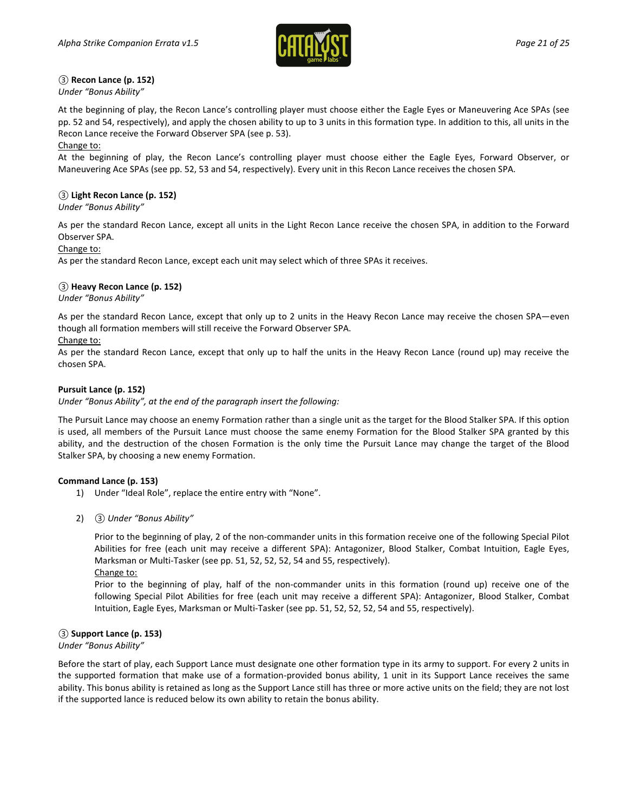

#### *③* **Recon Lance (p. 152)**

*Under "Bonus Ability"*

At the beginning of play, the Recon Lance's controlling player must choose either the Eagle Eyes or Maneuvering Ace SPAs (see pp. 52 and 54, respectively), and apply the chosen ability to up to 3 units in this formation type. In addition to this, all units in the Recon Lance receive the Forward Observer SPA (see p. 53).

#### Change to:

At the beginning of play, the Recon Lance's controlling player must choose either the Eagle Eyes, Forward Observer, or Maneuvering Ace SPAs (see pp. 52, 53 and 54, respectively). Every unit in this Recon Lance receives the chosen SPA.

#### *③* **Light Recon Lance (p. 152)**

*Under "Bonus Ability"*

As per the standard Recon Lance, except all units in the Light Recon Lance receive the chosen SPA, in addition to the Forward Observer SPA.

#### Change to:

As per the standard Recon Lance, except each unit may select which of three SPAs it receives.

#### *③* **Heavy Recon Lance (p. 152)**

*Under "Bonus Ability"*

As per the standard Recon Lance, except that only up to 2 units in the Heavy Recon Lance may receive the chosen SPA—even though all formation members will still receive the Forward Observer SPA.

#### Change to:

As per the standard Recon Lance, except that only up to half the units in the Heavy Recon Lance (round up) may receive the chosen SPA.

#### **Pursuit Lance (p. 152)**

*Under "Bonus Ability", at the end of the paragraph insert the following:*

The Pursuit Lance may choose an enemy Formation rather than a single unit as the target for the Blood Stalker SPA. If this option is used, all members of the Pursuit Lance must choose the same enemy Formation for the Blood Stalker SPA granted by this ability, and the destruction of the chosen Formation is the only time the Pursuit Lance may change the target of the Blood Stalker SPA, by choosing a new enemy Formation.

#### **Command Lance (p. 153)**

- 1) Under "Ideal Role", replace the entire entry with "None".
- 2) *③ Under "Bonus Ability"*

Prior to the beginning of play, 2 of the non-commander units in this formation receive one of the following Special Pilot Abilities for free (each unit may receive a different SPA): Antagonizer, Blood Stalker, Combat Intuition, Eagle Eyes, Marksman or Multi-Tasker (see pp. 51, 52, 52, 52, 54 and 55, respectively).

Change to:

Prior to the beginning of play, half of the non-commander units in this formation (round up) receive one of the following Special Pilot Abilities for free (each unit may receive a different SPA): Antagonizer, Blood Stalker, Combat Intuition, Eagle Eyes, Marksman or Multi-Tasker (see pp. 51, 52, 52, 52, 54 and 55, respectively).

#### *③* **Support Lance (p. 153)**

#### *Under "Bonus Ability"*

Before the start of play, each Support Lance must designate one other formation type in its army to support. For every 2 units in the supported formation that make use of a formation-provided bonus ability, 1 unit in its Support Lance receives the same ability. This bonus ability is retained as long as the Support Lance still has three or more active units on the field; they are not lost if the supported lance is reduced below its own ability to retain the bonus ability.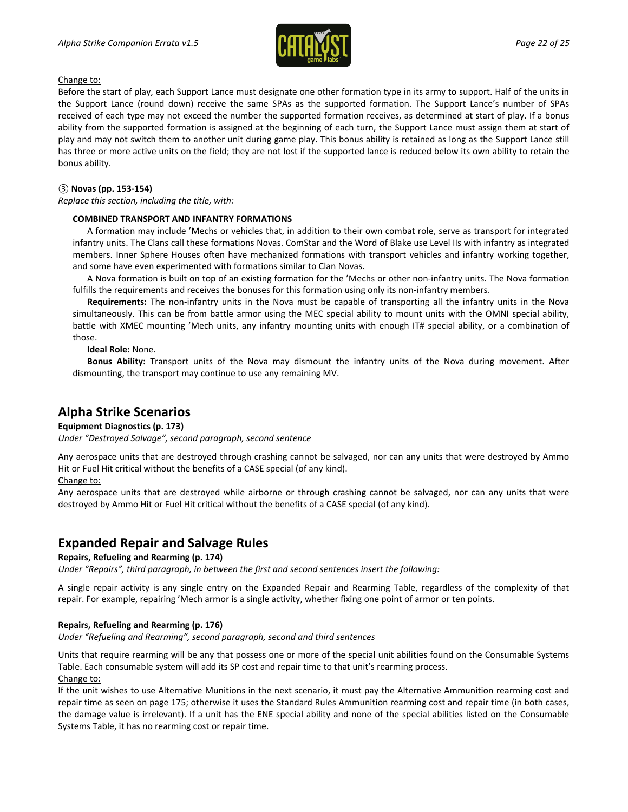

#### Change to:

Before the start of play, each Support Lance must designate one other formation type in its army to support. Half of the units in the Support Lance (round down) receive the same SPAs as the supported formation. The Support Lance's number of SPAs received of each type may not exceed the number the supported formation receives, as determined at start of play. If a bonus ability from the supported formation is assigned at the beginning of each turn, the Support Lance must assign them at start of play and may not switch them to another unit during game play. This bonus ability is retained as long as the Support Lance still has three or more active units on the field; they are not lost if the supported lance is reduced below its own ability to retain the bonus ability.

#### *③* **Novas (pp. 153-154)**

*Replace this section, including the title, with:*

#### **COMBINED TRANSPORT AND INFANTRY FORMATIONS**

A formation may include 'Mechs or vehicles that, in addition to their own combat role, serve as transport for integrated infantry units. The Clans call these formations Novas. ComStar and the Word of Blake use Level IIs with infantry as integrated members. Inner Sphere Houses often have mechanized formations with transport vehicles and infantry working together, and some have even experimented with formations similar to Clan Novas.

A Nova formation is built on top of an existing formation for the 'Mechs or other non-infantry units. The Nova formation fulfills the requirements and receives the bonuses for this formation using only its non-infantry members.

**Requirements:** The non-infantry units in the Nova must be capable of transporting all the infantry units in the Nova simultaneously. This can be from battle armor using the MEC special ability to mount units with the OMNI special ability, battle with XMEC mounting 'Mech units, any infantry mounting units with enough IT# special ability, or a combination of those.

**Ideal Role:** None.

**Bonus Ability:** Transport units of the Nova may dismount the infantry units of the Nova during movement. After dismounting, the transport may continue to use any remaining MV.

# **Alpha Strike Scenarios**

#### **Equipment Diagnostics (p. 173)**

*Under "Destroyed Salvage", second paragraph, second sentence*

Any aerospace units that are destroyed through crashing cannot be salvaged, nor can any units that were destroyed by Ammo Hit or Fuel Hit critical without the benefits of a CASE special (of any kind).

Change to:

Any aerospace units that are destroyed while airborne or through crashing cannot be salvaged, nor can any units that were destroyed by Ammo Hit or Fuel Hit critical without the benefits of a CASE special (of any kind).

# **Expanded Repair and Salvage Rules**

#### **Repairs, Refueling and Rearming (p. 174)**

*Under "Repairs", third paragraph, in between the first and second sentences insert the following:*

A single repair activity is any single entry on the Expanded Repair and Rearming Table, regardless of the complexity of that repair. For example, repairing 'Mech armor is a single activity, whether fixing one point of armor or ten points.

#### **Repairs, Refueling and Rearming (p. 176)**

*Under "Refueling and Rearming", second paragraph, second and third sentences*

Units that require rearming will be any that possess one or more of the special unit abilities found on the Consumable Systems Table. Each consumable system will add its SP cost and repair time to that unit's rearming process. Change to:

If the unit wishes to use Alternative Munitions in the next scenario, it must pay the Alternative Ammunition rearming cost and repair time as seen on page 175; otherwise it uses the Standard Rules Ammunition rearming cost and repair time (in both cases, the damage value is irrelevant). If a unit has the ENE special ability and none of the special abilities listed on the Consumable Systems Table, it has no rearming cost or repair time.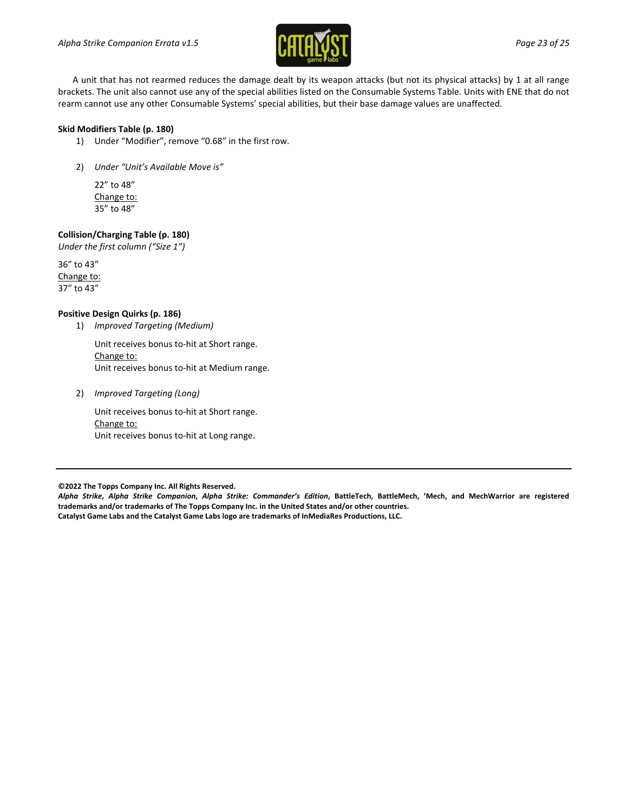

A unit that has not rearmed reduces the damage dealt by its weapon attacks (but not its physical attacks) by 1 at all range brackets. The unit also cannot use any of the special abilities listed on the Consumable Systems Table. Units with ENE that do not rearm cannot use any other Consumable Systems' special abilities, but their base damage values are unaffected.

#### **Skid Modifiers Table (p. 180)**

- 1) Under "Modifier", remove "0.68" in the first row.
- 2) *Under "Unit's Available Move is"*

22" to 48" Change to: 35" to 48"

#### **Collision/Charging Table (p. 180)**

*Under the first column ("Size 1")*

36" to 43" Change to: 37" to 43"

#### **Positive Design Quirks (p. 186)**

1) *Improved Targeting (Medium)*

Unit receives bonus to-hit at Short range. Change to: Unit receives bonus to-hit at Medium range.

2) *Improved Targeting (Long)*

Unit receives bonus to-hit at Short range. Change to: Unit receives bonus to-hit at Long range.

**©2022 The Topps Company Inc. All Rights Reserved.**

*Alpha Strike***,** *Alpha Strike Companion***,** *Alpha Strike: Commander's Edition***, BattleTech, BattleMech, 'Mech, and MechWarrior are registered trademarks and/or trademarks of The Topps Company Inc. in the United States and/or other countries. Catalyst Game Labs and the Catalyst Game Labs logo are trademarks of InMediaRes Productions, LLC.**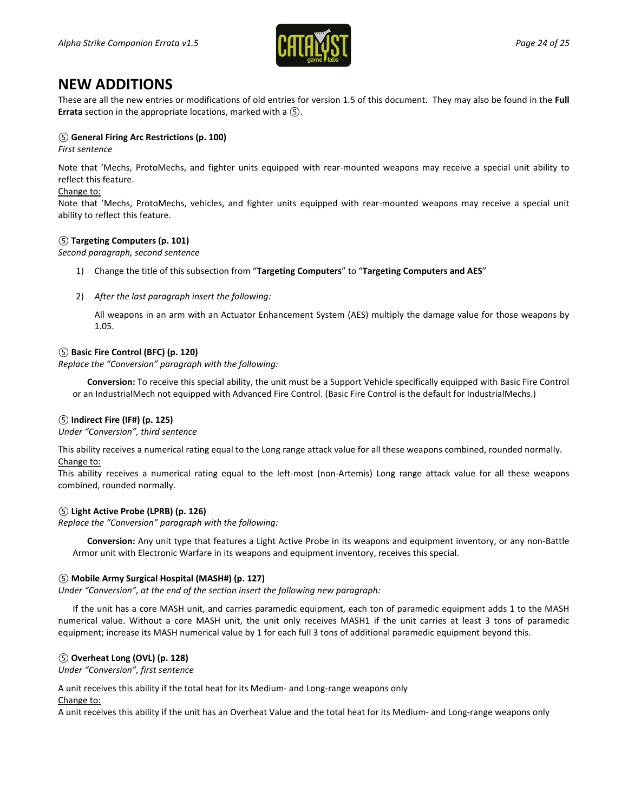

# **NEW ADDITIONS**

These are all the new entries or modifications of old entries for version 1.5 of this document. They may also be found in the **Full Errata** section in the appropriate locations, marked with a *⑤*.

#### *⑤* **General Firing Arc Restrictions (p. 100)**

*First sentence*

Note that 'Mechs, ProtoMechs, and fighter units equipped with rear-mounted weapons may receive a special unit ability to reflect this feature.

#### Change to:

Note that 'Mechs, ProtoMechs, vehicles, and fighter units equipped with rear-mounted weapons may receive a special unit ability to reflect this feature.

#### *⑤* **Targeting Computers (p. 101)**

*Second paragraph, second sentence*

- 1) Change the title of this subsection from "**Targeting Computers**" to "**Targeting Computers and AES**"
- 2) *After the last paragraph insert the following:*

All weapons in an arm with an Actuator Enhancement System (AES) multiply the damage value for those weapons by 1.05.

#### *⑤* **Basic Fire Control (BFC) (p. 120)**

*Replace the "Conversion" paragraph with the following:*

**Conversion:** To receive this special ability, the unit must be a Support Vehicle specifically equipped with Basic Fire Control or an IndustrialMech not equipped with Advanced Fire Control. (Basic Fire Control is the default for IndustrialMechs.)

#### *⑤* **Indirect Fire (IF#) (p. 125)**

*Under "Conversion", third sentence*

This ability receives a numerical rating equal to the Long range attack value for all these weapons combined, rounded normally. Change to:

This ability receives a numerical rating equal to the left-most (non-Artemis) Long range attack value for all these weapons combined, rounded normally.

#### *⑤* **Light Active Probe (LPRB) (p. 126)**

*Replace the "Conversion" paragraph with the following:*

**Conversion:** Any unit type that features a Light Active Probe in its weapons and equipment inventory, or any non-Battle Armor unit with Electronic Warfare in its weapons and equipment inventory, receives this special.

#### *⑤* **Mobile Army Surgical Hospital (MASH#) (p. 127)**

*Under "Conversion", at the end of the section insert the following new paragraph:*

If the unit has a core MASH unit, and carries paramedic equipment, each ton of paramedic equipment adds 1 to the MASH numerical value. Without a core MASH unit, the unit only receives MASH1 if the unit carries at least 3 tons of paramedic equipment; increase its MASH numerical value by 1 for each full 3 tons of additional paramedic equipment beyond this.

#### *⑤* **Overheat Long (OVL) (p. 128)**

*Under "Conversion", first sentence*

A unit receives this ability if the total heat for its Medium- and Long-range weapons only

Change to:

A unit receives this ability if the unit has an Overheat Value and the total heat for its Medium- and Long-range weapons only